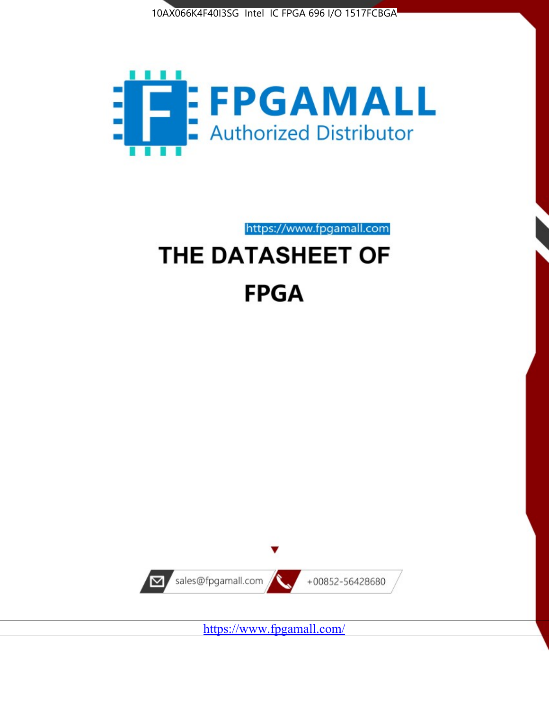



https://www.fpgamall.com

# THE DATASHEET OF **FPGA**



<https://www.fpgamall.com/>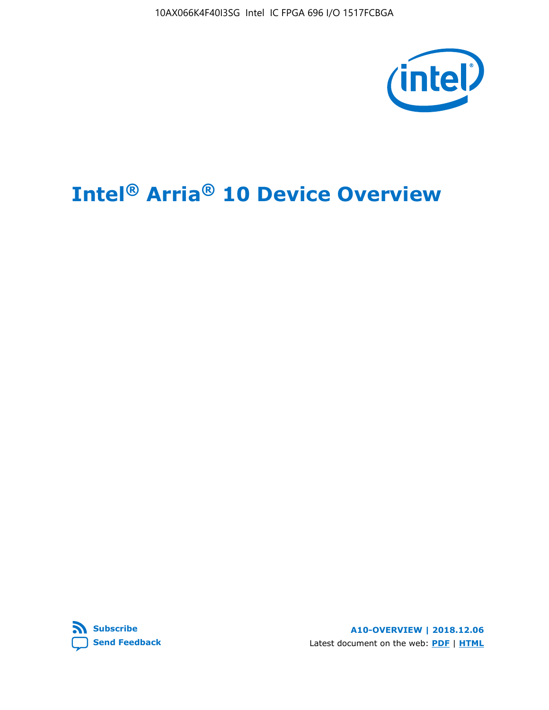10AX066K4F40I3SG Intel IC FPGA 696 I/O 1517FCBGA



# **Intel® Arria® 10 Device Overview**



**A10-OVERVIEW | 2018.12.06** Latest document on the web: **[PDF](https://www.intel.com/content/dam/www/programmable/us/en/pdfs/literature/hb/arria-10/a10_overview.pdf)** | **[HTML](https://www.intel.com/content/www/us/en/programmable/documentation/sam1403480274650.html)**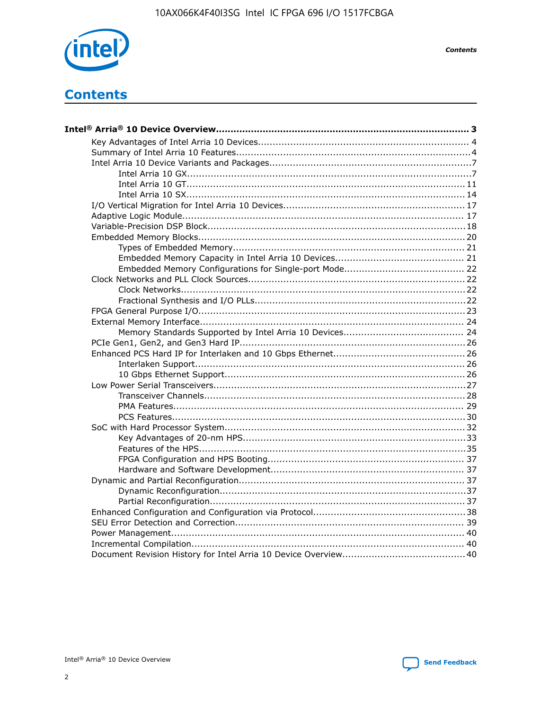

**Contents** 

# **Contents**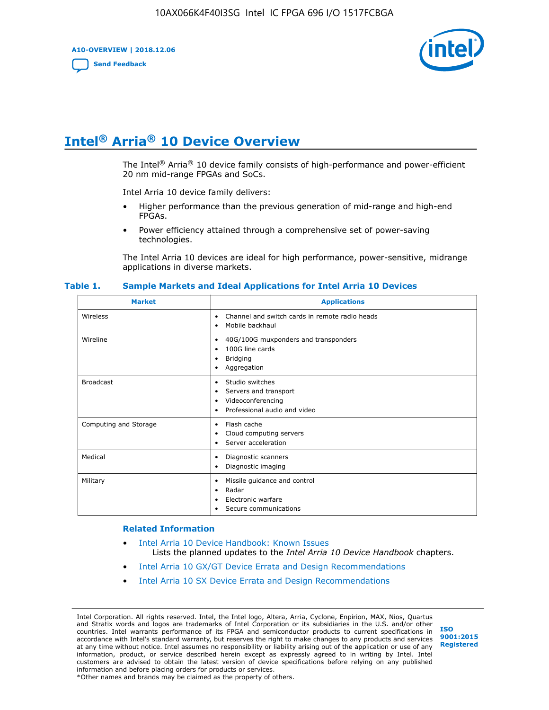**A10-OVERVIEW | 2018.12.06**

**[Send Feedback](mailto:FPGAtechdocfeedback@intel.com?subject=Feedback%20on%20Intel%20Arria%2010%20Device%20Overview%20(A10-OVERVIEW%202018.12.06)&body=We%20appreciate%20your%20feedback.%20In%20your%20comments,%20also%20specify%20the%20page%20number%20or%20paragraph.%20Thank%20you.)**



# **Intel® Arria® 10 Device Overview**

The Intel<sup>®</sup> Arria<sup>®</sup> 10 device family consists of high-performance and power-efficient 20 nm mid-range FPGAs and SoCs.

Intel Arria 10 device family delivers:

- Higher performance than the previous generation of mid-range and high-end FPGAs.
- Power efficiency attained through a comprehensive set of power-saving technologies.

The Intel Arria 10 devices are ideal for high performance, power-sensitive, midrange applications in diverse markets.

| <b>Market</b>         | <b>Applications</b>                                                                                               |
|-----------------------|-------------------------------------------------------------------------------------------------------------------|
| Wireless              | Channel and switch cards in remote radio heads<br>٠<br>Mobile backhaul<br>٠                                       |
| Wireline              | 40G/100G muxponders and transponders<br>٠<br>100G line cards<br>٠<br><b>Bridging</b><br>٠<br>Aggregation<br>٠     |
| <b>Broadcast</b>      | Studio switches<br>٠<br>Servers and transport<br>٠<br>Videoconferencing<br>٠<br>Professional audio and video<br>٠ |
| Computing and Storage | Flash cache<br>٠<br>Cloud computing servers<br>٠<br>Server acceleration<br>٠                                      |
| Medical               | Diagnostic scanners<br>٠<br>Diagnostic imaging<br>٠                                                               |
| Military              | Missile guidance and control<br>٠<br>Radar<br>٠<br>Electronic warfare<br>٠<br>Secure communications<br>٠          |

#### **Table 1. Sample Markets and Ideal Applications for Intel Arria 10 Devices**

#### **Related Information**

- [Intel Arria 10 Device Handbook: Known Issues](http://www.altera.com/support/kdb/solutions/rd07302013_646.html) Lists the planned updates to the *Intel Arria 10 Device Handbook* chapters.
- [Intel Arria 10 GX/GT Device Errata and Design Recommendations](https://www.intel.com/content/www/us/en/programmable/documentation/agz1493851706374.html#yqz1494433888646)
- [Intel Arria 10 SX Device Errata and Design Recommendations](https://www.intel.com/content/www/us/en/programmable/documentation/cru1462832385668.html#cru1462832558642)

Intel Corporation. All rights reserved. Intel, the Intel logo, Altera, Arria, Cyclone, Enpirion, MAX, Nios, Quartus and Stratix words and logos are trademarks of Intel Corporation or its subsidiaries in the U.S. and/or other countries. Intel warrants performance of its FPGA and semiconductor products to current specifications in accordance with Intel's standard warranty, but reserves the right to make changes to any products and services at any time without notice. Intel assumes no responsibility or liability arising out of the application or use of any information, product, or service described herein except as expressly agreed to in writing by Intel. Intel customers are advised to obtain the latest version of device specifications before relying on any published information and before placing orders for products or services. \*Other names and brands may be claimed as the property of others.

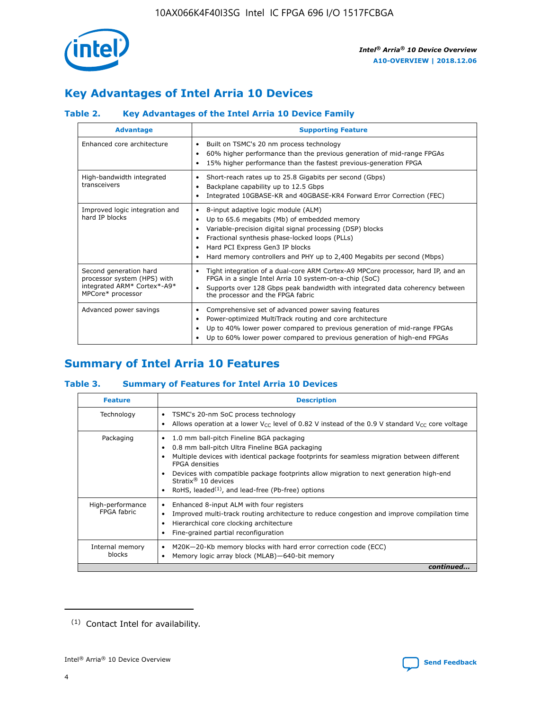

# **Key Advantages of Intel Arria 10 Devices**

## **Table 2. Key Advantages of the Intel Arria 10 Device Family**

| <b>Advantage</b>                                                                                          | <b>Supporting Feature</b>                                                                                                                                                                                                                                                                                                |
|-----------------------------------------------------------------------------------------------------------|--------------------------------------------------------------------------------------------------------------------------------------------------------------------------------------------------------------------------------------------------------------------------------------------------------------------------|
| Enhanced core architecture                                                                                | Built on TSMC's 20 nm process technology<br>٠<br>60% higher performance than the previous generation of mid-range FPGAs<br>٠<br>15% higher performance than the fastest previous-generation FPGA<br>٠                                                                                                                    |
| High-bandwidth integrated<br>transceivers                                                                 | Short-reach rates up to 25.8 Gigabits per second (Gbps)<br>٠<br>Backplane capability up to 12.5 Gbps<br>٠<br>Integrated 10GBASE-KR and 40GBASE-KR4 Forward Error Correction (FEC)<br>٠                                                                                                                                   |
| Improved logic integration and<br>hard IP blocks                                                          | 8-input adaptive logic module (ALM)<br>٠<br>Up to 65.6 megabits (Mb) of embedded memory<br>٠<br>Variable-precision digital signal processing (DSP) blocks<br>Fractional synthesis phase-locked loops (PLLs)<br>Hard PCI Express Gen3 IP blocks<br>Hard memory controllers and PHY up to 2,400 Megabits per second (Mbps) |
| Second generation hard<br>processor system (HPS) with<br>integrated ARM* Cortex*-A9*<br>MPCore* processor | Tight integration of a dual-core ARM Cortex-A9 MPCore processor, hard IP, and an<br>٠<br>FPGA in a single Intel Arria 10 system-on-a-chip (SoC)<br>Supports over 128 Gbps peak bandwidth with integrated data coherency between<br>$\bullet$<br>the processor and the FPGA fabric                                        |
| Advanced power savings                                                                                    | Comprehensive set of advanced power saving features<br>٠<br>Power-optimized MultiTrack routing and core architecture<br>٠<br>Up to 40% lower power compared to previous generation of mid-range FPGAs<br>Up to 60% lower power compared to previous generation of high-end FPGAs                                         |

# **Summary of Intel Arria 10 Features**

## **Table 3. Summary of Features for Intel Arria 10 Devices**

| <b>Feature</b>                  | <b>Description</b>                                                                                                                                                                                                                                                                                                                                                                                 |
|---------------------------------|----------------------------------------------------------------------------------------------------------------------------------------------------------------------------------------------------------------------------------------------------------------------------------------------------------------------------------------------------------------------------------------------------|
| Technology                      | TSMC's 20-nm SoC process technology<br>Allows operation at a lower $V_{\text{CC}}$ level of 0.82 V instead of the 0.9 V standard $V_{\text{CC}}$ core voltage                                                                                                                                                                                                                                      |
| Packaging                       | 1.0 mm ball-pitch Fineline BGA packaging<br>٠<br>0.8 mm ball-pitch Ultra Fineline BGA packaging<br>Multiple devices with identical package footprints for seamless migration between different<br><b>FPGA</b> densities<br>Devices with compatible package footprints allow migration to next generation high-end<br>Stratix $@10$ devices<br>RoHS, leaded $(1)$ , and lead-free (Pb-free) options |
| High-performance<br>FPGA fabric | Enhanced 8-input ALM with four registers<br>Improved multi-track routing architecture to reduce congestion and improve compilation time<br>Hierarchical core clocking architecture<br>Fine-grained partial reconfiguration                                                                                                                                                                         |
| Internal memory<br>blocks       | M20K-20-Kb memory blocks with hard error correction code (ECC)<br>Memory logic array block (MLAB)-640-bit memory                                                                                                                                                                                                                                                                                   |
|                                 | continued                                                                                                                                                                                                                                                                                                                                                                                          |



<sup>(1)</sup> Contact Intel for availability.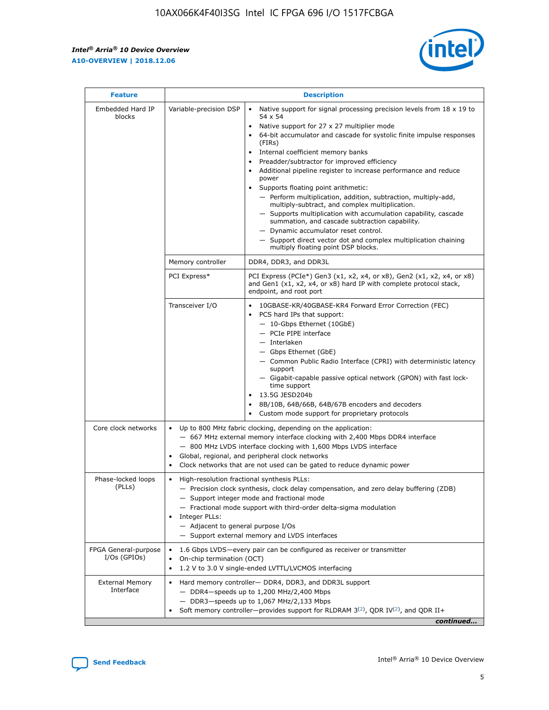$\mathsf{r}$ 



| <b>Feature</b>                         |                                                                                                                | <b>Description</b>                                                                                                                                                                                                                                                                                                                                                                                                                                                                                                                                                                                                                                                                                                                                                                                                                          |
|----------------------------------------|----------------------------------------------------------------------------------------------------------------|---------------------------------------------------------------------------------------------------------------------------------------------------------------------------------------------------------------------------------------------------------------------------------------------------------------------------------------------------------------------------------------------------------------------------------------------------------------------------------------------------------------------------------------------------------------------------------------------------------------------------------------------------------------------------------------------------------------------------------------------------------------------------------------------------------------------------------------------|
| Embedded Hard IP<br>blocks             | Variable-precision DSP                                                                                         | Native support for signal processing precision levels from $18 \times 19$ to<br>$\bullet$<br>54 x 54<br>Native support for 27 x 27 multiplier mode<br>64-bit accumulator and cascade for systolic finite impulse responses<br>(FIRs)<br>Internal coefficient memory banks<br>٠<br>Preadder/subtractor for improved efficiency<br>Additional pipeline register to increase performance and reduce<br>power<br>Supports floating point arithmetic:<br>- Perform multiplication, addition, subtraction, multiply-add,<br>multiply-subtract, and complex multiplication.<br>- Supports multiplication with accumulation capability, cascade<br>summation, and cascade subtraction capability.<br>- Dynamic accumulator reset control.<br>- Support direct vector dot and complex multiplication chaining<br>multiply floating point DSP blocks. |
|                                        | Memory controller                                                                                              | DDR4, DDR3, and DDR3L                                                                                                                                                                                                                                                                                                                                                                                                                                                                                                                                                                                                                                                                                                                                                                                                                       |
|                                        | PCI Express*                                                                                                   | PCI Express (PCIe*) Gen3 (x1, x2, x4, or x8), Gen2 (x1, x2, x4, or x8)<br>and Gen1 (x1, x2, x4, or x8) hard IP with complete protocol stack,<br>endpoint, and root port                                                                                                                                                                                                                                                                                                                                                                                                                                                                                                                                                                                                                                                                     |
|                                        | Transceiver I/O                                                                                                | 10GBASE-KR/40GBASE-KR4 Forward Error Correction (FEC)<br>PCS hard IPs that support:<br>- 10-Gbps Ethernet (10GbE)<br>- PCIe PIPE interface<br>- Interlaken<br>- Gbps Ethernet (GbE)<br>- Common Public Radio Interface (CPRI) with deterministic latency<br>support<br>- Gigabit-capable passive optical network (GPON) with fast lock-<br>time support<br>13.5G JESD204b<br>$\bullet$<br>8B/10B, 64B/66B, 64B/67B encoders and decoders<br>Custom mode support for proprietary protocols                                                                                                                                                                                                                                                                                                                                                   |
| Core clock networks                    | $\bullet$<br>$\bullet$                                                                                         | Up to 800 MHz fabric clocking, depending on the application:<br>- 667 MHz external memory interface clocking with 2,400 Mbps DDR4 interface<br>- 800 MHz LVDS interface clocking with 1,600 Mbps LVDS interface<br>Global, regional, and peripheral clock networks<br>Clock networks that are not used can be gated to reduce dynamic power                                                                                                                                                                                                                                                                                                                                                                                                                                                                                                 |
| Phase-locked loops<br>(PLLs)           | High-resolution fractional synthesis PLLs:<br>$\bullet$<br>Integer PLLs:<br>- Adjacent to general purpose I/Os | - Precision clock synthesis, clock delay compensation, and zero delay buffering (ZDB)<br>- Support integer mode and fractional mode<br>- Fractional mode support with third-order delta-sigma modulation<br>- Support external memory and LVDS interfaces                                                                                                                                                                                                                                                                                                                                                                                                                                                                                                                                                                                   |
| FPGA General-purpose<br>$I/Os$ (GPIOs) | On-chip termination (OCT)<br>$\bullet$                                                                         | 1.6 Gbps LVDS-every pair can be configured as receiver or transmitter<br>1.2 V to 3.0 V single-ended LVTTL/LVCMOS interfacing                                                                                                                                                                                                                                                                                                                                                                                                                                                                                                                                                                                                                                                                                                               |
| <b>External Memory</b><br>Interface    |                                                                                                                | Hard memory controller- DDR4, DDR3, and DDR3L support<br>$-$ DDR4 $-$ speeds up to 1,200 MHz/2,400 Mbps<br>- DDR3-speeds up to 1,067 MHz/2,133 Mbps<br>Soft memory controller—provides support for RLDRAM $3^{(2)}$ , QDR IV $(2^2)$ , and QDR II+<br>continued                                                                                                                                                                                                                                                                                                                                                                                                                                                                                                                                                                             |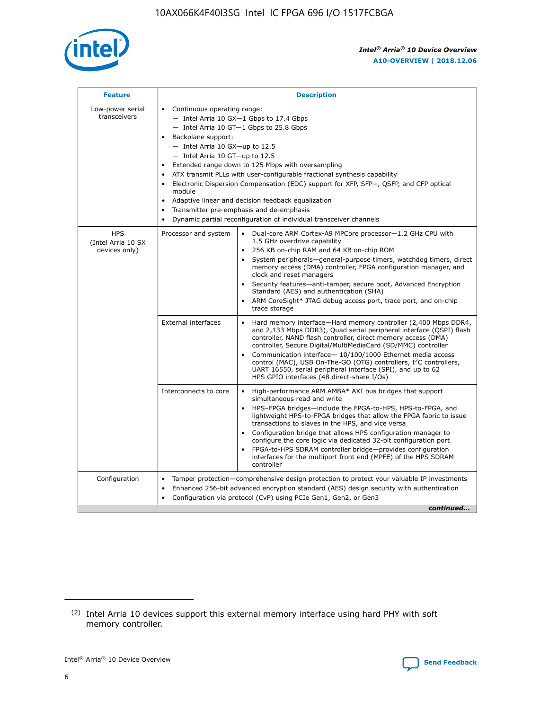

| <b>Feature</b>                                    | <b>Description</b>                                                                                                                                                                                                                                                                                                                                                                                                                                                                                                                                                                                                                                      |
|---------------------------------------------------|---------------------------------------------------------------------------------------------------------------------------------------------------------------------------------------------------------------------------------------------------------------------------------------------------------------------------------------------------------------------------------------------------------------------------------------------------------------------------------------------------------------------------------------------------------------------------------------------------------------------------------------------------------|
| Low-power serial<br>transceivers                  | • Continuous operating range:<br>- Intel Arria 10 GX-1 Gbps to 17.4 Gbps<br>- Intel Arria 10 GT-1 Gbps to 25.8 Gbps<br>Backplane support:<br>$-$ Intel Arria 10 GX-up to 12.5<br>- Intel Arria 10 GT-up to 12.5<br>Extended range down to 125 Mbps with oversampling<br>ATX transmit PLLs with user-configurable fractional synthesis capability<br>• Electronic Dispersion Compensation (EDC) support for XFP, SFP+, QSFP, and CFP optical<br>module<br>Adaptive linear and decision feedback equalization<br>$\bullet$<br>Transmitter pre-emphasis and de-emphasis<br>$\bullet$<br>Dynamic partial reconfiguration of individual transceiver channels |
| <b>HPS</b><br>(Intel Arria 10 SX<br>devices only) | Processor and system<br>Dual-core ARM Cortex-A9 MPCore processor-1.2 GHz CPU with<br>$\bullet$<br>1.5 GHz overdrive capability<br>• 256 KB on-chip RAM and 64 KB on-chip ROM<br>System peripherals-general-purpose timers, watchdog timers, direct<br>memory access (DMA) controller, FPGA configuration manager, and<br>clock and reset managers<br>• Security features—anti-tamper, secure boot, Advanced Encryption<br>Standard (AES) and authentication (SHA)<br>ARM CoreSight* JTAG debug access port, trace port, and on-chip<br>trace storage                                                                                                    |
|                                                   | <b>External interfaces</b><br>Hard memory interface—Hard memory controller (2,400 Mbps DDR4,<br>$\bullet$<br>and 2,133 Mbps DDR3), Quad serial peripheral interface (QSPI) flash<br>controller, NAND flash controller, direct memory access (DMA)<br>controller, Secure Digital/MultiMediaCard (SD/MMC) controller<br>Communication interface-10/100/1000 Ethernet media access<br>control (MAC), USB On-The-GO (OTG) controllers, I <sup>2</sup> C controllers,<br>UART 16550, serial peripheral interface (SPI), and up to 62<br>HPS GPIO interfaces (48 direct-share I/Os)                                                                           |
|                                                   | High-performance ARM AMBA* AXI bus bridges that support<br>Interconnects to core<br>$\bullet$<br>simultaneous read and write<br>HPS-FPGA bridges—include the FPGA-to-HPS, HPS-to-FPGA, and<br>lightweight HPS-to-FPGA bridges that allow the FPGA fabric to issue<br>transactions to slaves in the HPS, and vice versa<br>Configuration bridge that allows HPS configuration manager to<br>configure the core logic via dedicated 32-bit configuration port<br>FPGA-to-HPS SDRAM controller bridge-provides configuration<br>interfaces for the multiport front end (MPFE) of the HPS SDRAM<br>controller                                               |
| Configuration                                     | Tamper protection—comprehensive design protection to protect your valuable IP investments<br>Enhanced 256-bit advanced encryption standard (AES) design security with authentication<br>٠<br>Configuration via protocol (CvP) using PCIe Gen1, Gen2, or Gen3<br>continued                                                                                                                                                                                                                                                                                                                                                                               |

<sup>(2)</sup> Intel Arria 10 devices support this external memory interface using hard PHY with soft memory controller.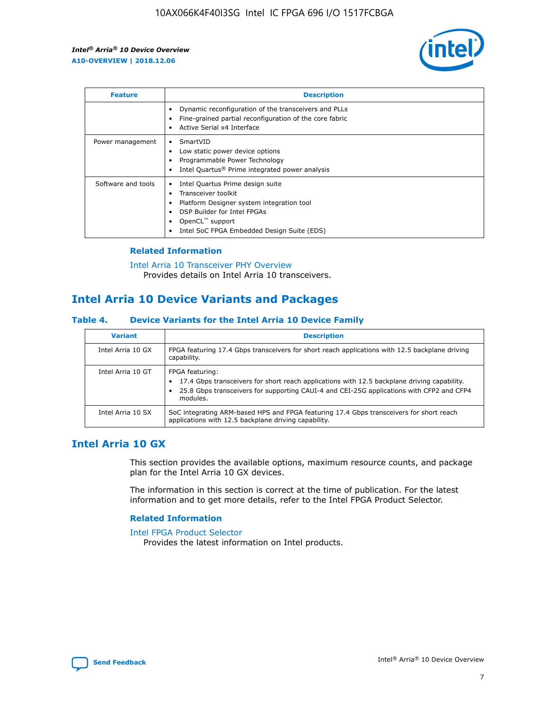

| <b>Feature</b>     | <b>Description</b>                                                                                                                                                                                               |
|--------------------|------------------------------------------------------------------------------------------------------------------------------------------------------------------------------------------------------------------|
|                    | Dynamic reconfiguration of the transceivers and PLLs<br>Fine-grained partial reconfiguration of the core fabric<br>Active Serial x4 Interface<br>$\bullet$                                                       |
| Power management   | SmartVID<br>Low static power device options<br>Programmable Power Technology<br>Intel Quartus <sup>®</sup> Prime integrated power analysis                                                                       |
| Software and tools | Intel Quartus Prime design suite<br>Transceiver toolkit<br>Platform Designer system integration tool<br>DSP Builder for Intel FPGAs<br>OpenCL <sup>™</sup> support<br>Intel SoC FPGA Embedded Design Suite (EDS) |

## **Related Information**

[Intel Arria 10 Transceiver PHY Overview](https://www.intel.com/content/www/us/en/programmable/documentation/nik1398707230472.html#nik1398706768037) Provides details on Intel Arria 10 transceivers.

## **Intel Arria 10 Device Variants and Packages**

#### **Table 4. Device Variants for the Intel Arria 10 Device Family**

| <b>Variant</b>    | <b>Description</b>                                                                                                                                                                                                     |
|-------------------|------------------------------------------------------------------------------------------------------------------------------------------------------------------------------------------------------------------------|
| Intel Arria 10 GX | FPGA featuring 17.4 Gbps transceivers for short reach applications with 12.5 backplane driving<br>capability.                                                                                                          |
| Intel Arria 10 GT | FPGA featuring:<br>17.4 Gbps transceivers for short reach applications with 12.5 backplane driving capability.<br>25.8 Gbps transceivers for supporting CAUI-4 and CEI-25G applications with CFP2 and CFP4<br>modules. |
| Intel Arria 10 SX | SoC integrating ARM-based HPS and FPGA featuring 17.4 Gbps transceivers for short reach<br>applications with 12.5 backplane driving capability.                                                                        |

## **Intel Arria 10 GX**

This section provides the available options, maximum resource counts, and package plan for the Intel Arria 10 GX devices.

The information in this section is correct at the time of publication. For the latest information and to get more details, refer to the Intel FPGA Product Selector.

#### **Related Information**

#### [Intel FPGA Product Selector](http://www.altera.com/products/selector/psg-selector.html) Provides the latest information on Intel products.

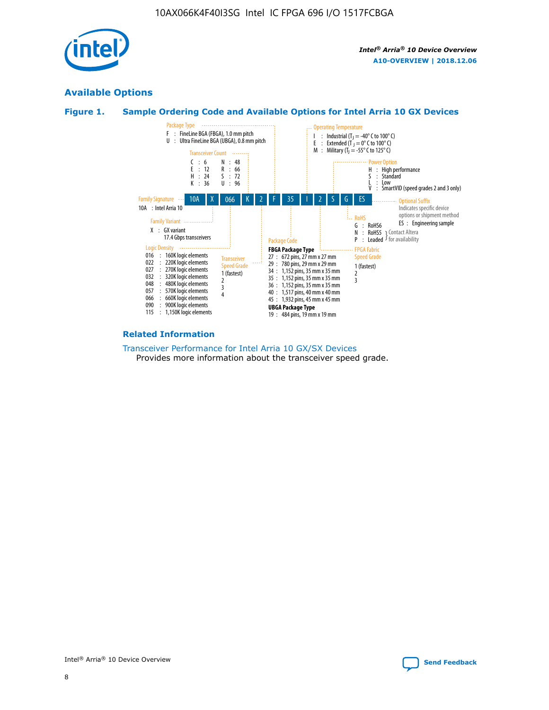

## **Available Options**





#### **Related Information**

[Transceiver Performance for Intel Arria 10 GX/SX Devices](https://www.intel.com/content/www/us/en/programmable/documentation/mcn1413182292568.html#mcn1413213965502) Provides more information about the transceiver speed grade.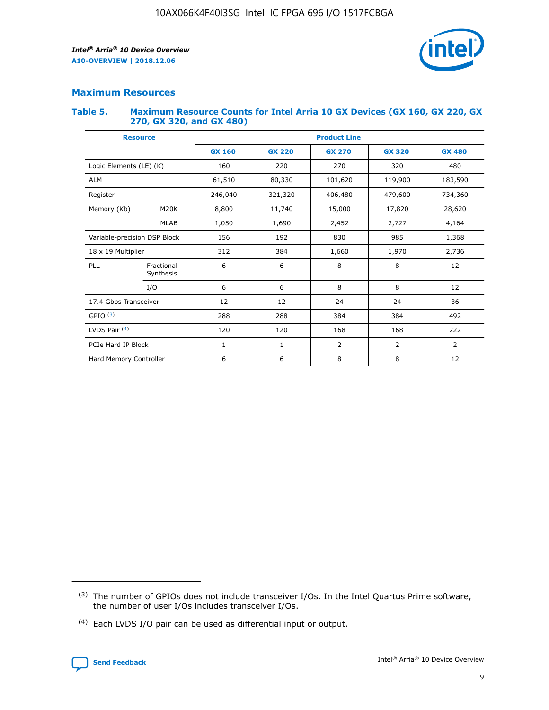

## **Maximum Resources**

#### **Table 5. Maximum Resource Counts for Intel Arria 10 GX Devices (GX 160, GX 220, GX 270, GX 320, and GX 480)**

| <b>Resource</b>              |                         | <b>Product Line</b> |                                                 |                    |                |                |  |  |  |
|------------------------------|-------------------------|---------------------|-------------------------------------------------|--------------------|----------------|----------------|--|--|--|
|                              |                         | <b>GX 160</b>       | <b>GX 220</b><br><b>GX 270</b><br><b>GX 320</b> |                    |                | <b>GX 480</b>  |  |  |  |
| Logic Elements (LE) (K)      |                         | 160                 | 220                                             | 270                | 320            | 480            |  |  |  |
| <b>ALM</b>                   |                         | 61,510              | 80,330                                          | 101,620            | 119,900        | 183,590        |  |  |  |
| Register                     |                         | 246,040             | 321,320                                         | 479,600<br>406,480 |                | 734,360        |  |  |  |
| Memory (Kb)                  | M <sub>20</sub> K       | 8,800               | 11,740                                          | 15,000             | 17,820         | 28,620         |  |  |  |
|                              | <b>MLAB</b>             | 1,050               | 1,690                                           | 2,452              | 2,727          | 4,164          |  |  |  |
| Variable-precision DSP Block |                         | 156                 | 830<br>985<br>192                               |                    | 1,368          |                |  |  |  |
| 18 x 19 Multiplier           |                         | 312                 | 384                                             | 1,660<br>1,970     |                | 2,736          |  |  |  |
| PLL                          | Fractional<br>Synthesis | 6                   | 6                                               | 8                  | 8              | 12             |  |  |  |
|                              | I/O                     | 6                   | 6                                               | 8                  | 8              | 12             |  |  |  |
| 17.4 Gbps Transceiver        |                         | 12                  | 12                                              | 24                 | 24             | 36             |  |  |  |
| GPIO <sup>(3)</sup>          |                         | 288                 | 288                                             | 384<br>384         |                | 492            |  |  |  |
| LVDS Pair $(4)$              |                         | 120                 | 120                                             | 168                | 168            | 222            |  |  |  |
| PCIe Hard IP Block           |                         | 1                   | 1                                               | 2                  | $\overline{2}$ | $\overline{2}$ |  |  |  |
| Hard Memory Controller       |                         | 6                   | 6                                               | 8                  | 8              | 12             |  |  |  |

<sup>(4)</sup> Each LVDS I/O pair can be used as differential input or output.



<sup>(3)</sup> The number of GPIOs does not include transceiver I/Os. In the Intel Quartus Prime software, the number of user I/Os includes transceiver I/Os.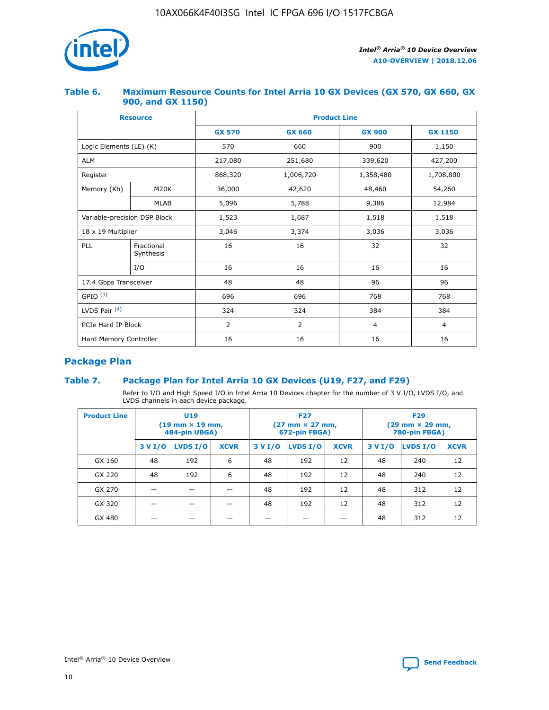

## **Table 6. Maximum Resource Counts for Intel Arria 10 GX Devices (GX 570, GX 660, GX 900, and GX 1150)**

|                              | <b>Resource</b>         | <b>Product Line</b> |                |                |                |  |  |  |
|------------------------------|-------------------------|---------------------|----------------|----------------|----------------|--|--|--|
|                              |                         | <b>GX 570</b>       | <b>GX 660</b>  | <b>GX 900</b>  | <b>GX 1150</b> |  |  |  |
| Logic Elements (LE) (K)      |                         | 570                 | 660            | 900            | 1,150          |  |  |  |
| <b>ALM</b>                   |                         | 217,080             | 251,680        | 339,620        | 427,200        |  |  |  |
| Register                     |                         | 868,320             | 1,006,720      | 1,358,480      | 1,708,800      |  |  |  |
| Memory (Kb)                  | <b>M20K</b>             | 36,000              | 42,620         | 48,460         | 54,260         |  |  |  |
|                              | <b>MLAB</b>             | 5,096               | 5,788          | 9,386          | 12,984         |  |  |  |
| Variable-precision DSP Block |                         | 1,523               | 1,687          | 1,518          | 1,518          |  |  |  |
| $18 \times 19$ Multiplier    |                         | 3,046               | 3,374          | 3,036          | 3,036          |  |  |  |
| PLL                          | Fractional<br>Synthesis | 16                  | 16             | 32             | 32             |  |  |  |
|                              | I/O                     | 16                  | 16             | 16             | 16             |  |  |  |
| 17.4 Gbps Transceiver        |                         | 48                  | 48             | 96             | 96             |  |  |  |
| GPIO <sup>(3)</sup>          |                         | 696                 | 696            | 768            | 768            |  |  |  |
| LVDS Pair $(4)$              |                         | 324                 | 324<br>384     |                | 384            |  |  |  |
| PCIe Hard IP Block           |                         | 2                   | $\overline{2}$ | $\overline{4}$ | 4              |  |  |  |
| Hard Memory Controller       |                         | 16                  | 16             | 16             | 16             |  |  |  |

## **Package Plan**

## **Table 7. Package Plan for Intel Arria 10 GX Devices (U19, F27, and F29)**

Refer to I/O and High Speed I/O in Intel Arria 10 Devices chapter for the number of 3 V I/O, LVDS I/O, and LVDS channels in each device package.

| <b>Product Line</b> | U <sub>19</sub><br>$(19 \text{ mm} \times 19 \text{ mm})$<br>484-pin UBGA) |          |             |         | <b>F27</b><br>(27 mm × 27 mm,<br>672-pin FBGA) |             | <b>F29</b><br>(29 mm × 29 mm,<br>780-pin FBGA) |          |             |  |
|---------------------|----------------------------------------------------------------------------|----------|-------------|---------|------------------------------------------------|-------------|------------------------------------------------|----------|-------------|--|
|                     | 3 V I/O                                                                    | LVDS I/O | <b>XCVR</b> | 3 V I/O | LVDS I/O                                       | <b>XCVR</b> | 3 V I/O                                        | LVDS I/O | <b>XCVR</b> |  |
| GX 160              | 48                                                                         | 192      | 6           | 48      | 192                                            | 12          | 48                                             | 240      | 12          |  |
| GX 220              | 48                                                                         | 192      | 6           | 48      | 192                                            | 12          | 48                                             | 240      | 12          |  |
| GX 270              |                                                                            |          |             | 48      | 192                                            | 12          | 48                                             | 312      | 12          |  |
| GX 320              |                                                                            |          |             | 48      | 192                                            | 12          | 48                                             | 312      | 12          |  |
| GX 480              |                                                                            |          |             |         |                                                |             | 48                                             | 312      | 12          |  |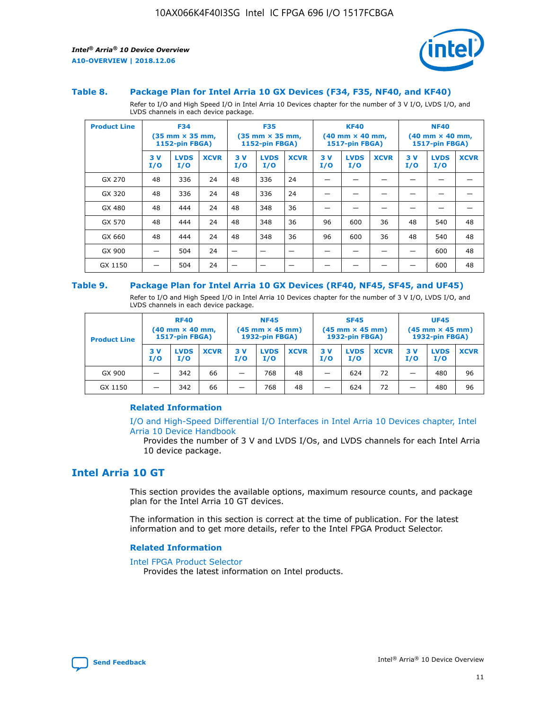



#### **Table 8. Package Plan for Intel Arria 10 GX Devices (F34, F35, NF40, and KF40)**

Refer to I/O and High Speed I/O in Intel Arria 10 Devices chapter for the number of 3 V I/O, LVDS I/O, and LVDS channels in each device package.

| <b>Product Line</b> | <b>F34</b><br>$(35 \text{ mm} \times 35 \text{ mm})$<br><b>1152-pin FBGA)</b> |                    | <b>F35</b><br>$(35 \text{ mm} \times 35 \text{ mm})$<br><b>1152-pin FBGA)</b> |           | <b>KF40</b><br>$(40$ mm $\times$ 40 mm,<br><b>1517-pin FBGA)</b> |             |           | <b>NF40</b><br>$(40 \text{ mm} \times 40 \text{ mm})$<br>1517-pin FBGA) |             |           |                    |             |
|---------------------|-------------------------------------------------------------------------------|--------------------|-------------------------------------------------------------------------------|-----------|------------------------------------------------------------------|-------------|-----------|-------------------------------------------------------------------------|-------------|-----------|--------------------|-------------|
|                     | 3V<br>I/O                                                                     | <b>LVDS</b><br>I/O | <b>XCVR</b>                                                                   | 3V<br>I/O | <b>LVDS</b><br>I/O                                               | <b>XCVR</b> | 3V<br>I/O | <b>LVDS</b><br>I/O                                                      | <b>XCVR</b> | 3V<br>I/O | <b>LVDS</b><br>I/O | <b>XCVR</b> |
| GX 270              | 48                                                                            | 336                | 24                                                                            | 48        | 336                                                              | 24          |           |                                                                         |             |           |                    |             |
| GX 320              | 48                                                                            | 336                | 24                                                                            | 48        | 336                                                              | 24          |           |                                                                         |             |           |                    |             |
| GX 480              | 48                                                                            | 444                | 24                                                                            | 48        | 348                                                              | 36          |           |                                                                         |             |           |                    |             |
| GX 570              | 48                                                                            | 444                | 24                                                                            | 48        | 348                                                              | 36          | 96        | 600                                                                     | 36          | 48        | 540                | 48          |
| GX 660              | 48                                                                            | 444                | 24                                                                            | 48        | 348                                                              | 36          | 96        | 600                                                                     | 36          | 48        | 540                | 48          |
| GX 900              |                                                                               | 504                | 24                                                                            | –         |                                                                  | -           |           |                                                                         |             |           | 600                | 48          |
| GX 1150             |                                                                               | 504                | 24                                                                            |           |                                                                  |             |           |                                                                         |             |           | 600                | 48          |

#### **Table 9. Package Plan for Intel Arria 10 GX Devices (RF40, NF45, SF45, and UF45)**

Refer to I/O and High Speed I/O in Intel Arria 10 Devices chapter for the number of 3 V I/O, LVDS I/O, and LVDS channels in each device package.

| <b>Product Line</b> | <b>RF40</b><br>$(40$ mm $\times$ 40 mm,<br>1517-pin FBGA) |                    |             | <b>NF45</b><br>$(45 \text{ mm} \times 45 \text{ mm})$<br><b>1932-pin FBGA)</b> |                    |             | <b>SF45</b><br>$(45 \text{ mm} \times 45 \text{ mm})$<br><b>1932-pin FBGA)</b> |                    |             | <b>UF45</b><br>$(45 \text{ mm} \times 45 \text{ mm})$<br><b>1932-pin FBGA)</b> |                    |             |
|---------------------|-----------------------------------------------------------|--------------------|-------------|--------------------------------------------------------------------------------|--------------------|-------------|--------------------------------------------------------------------------------|--------------------|-------------|--------------------------------------------------------------------------------|--------------------|-------------|
|                     | 3V<br>I/O                                                 | <b>LVDS</b><br>I/O | <b>XCVR</b> | 3 V<br>I/O                                                                     | <b>LVDS</b><br>I/O | <b>XCVR</b> | 3 V<br>I/O                                                                     | <b>LVDS</b><br>I/O | <b>XCVR</b> | 3V<br>I/O                                                                      | <b>LVDS</b><br>I/O | <b>XCVR</b> |
| GX 900              |                                                           | 342                | 66          | _                                                                              | 768                | 48          |                                                                                | 624                | 72          |                                                                                | 480                | 96          |
| GX 1150             |                                                           | 342                | 66          | _                                                                              | 768                | 48          |                                                                                | 624                | 72          |                                                                                | 480                | 96          |

#### **Related Information**

[I/O and High-Speed Differential I/O Interfaces in Intel Arria 10 Devices chapter, Intel](https://www.intel.com/content/www/us/en/programmable/documentation/sam1403482614086.html#sam1403482030321) [Arria 10 Device Handbook](https://www.intel.com/content/www/us/en/programmable/documentation/sam1403482614086.html#sam1403482030321)

Provides the number of 3 V and LVDS I/Os, and LVDS channels for each Intel Arria 10 device package.

## **Intel Arria 10 GT**

This section provides the available options, maximum resource counts, and package plan for the Intel Arria 10 GT devices.

The information in this section is correct at the time of publication. For the latest information and to get more details, refer to the Intel FPGA Product Selector.

#### **Related Information**

#### [Intel FPGA Product Selector](http://www.altera.com/products/selector/psg-selector.html)

Provides the latest information on Intel products.

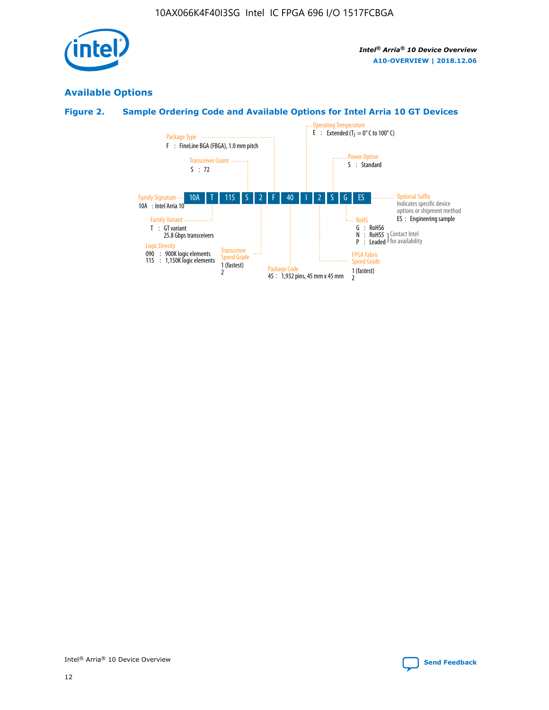

## **Available Options**

## **Figure 2. Sample Ordering Code and Available Options for Intel Arria 10 GT Devices**

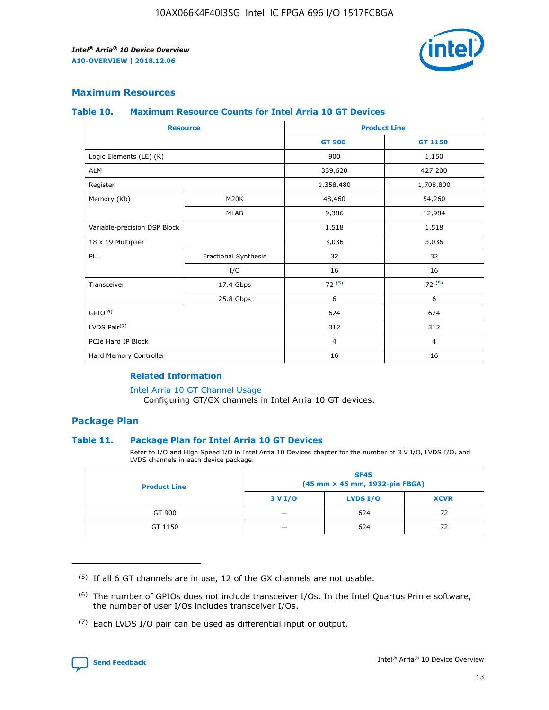

## **Maximum Resources**

#### **Table 10. Maximum Resource Counts for Intel Arria 10 GT Devices**

| <b>Resource</b>              |                      | <b>Product Line</b> |                |  |
|------------------------------|----------------------|---------------------|----------------|--|
|                              |                      | <b>GT 900</b>       | <b>GT 1150</b> |  |
| Logic Elements (LE) (K)      |                      | 900                 | 1,150          |  |
| <b>ALM</b>                   |                      | 339,620             | 427,200        |  |
| Register                     |                      | 1,358,480           | 1,708,800      |  |
| Memory (Kb)                  | M20K                 | 48,460              | 54,260         |  |
|                              | <b>MLAB</b>          | 9,386               | 12,984         |  |
| Variable-precision DSP Block |                      | 1,518               | 1,518          |  |
| 18 x 19 Multiplier           |                      | 3,036               | 3,036          |  |
| <b>PLL</b>                   | Fractional Synthesis | 32                  | 32             |  |
|                              | I/O                  | 16                  | 16             |  |
| Transceiver                  | 17.4 Gbps            | 72(5)               | 72(5)          |  |
|                              | 25.8 Gbps            | 6                   | 6              |  |
| GPIO <sup>(6)</sup>          |                      | 624                 | 624            |  |
| LVDS Pair $(7)$              |                      | 312                 | 312            |  |
| PCIe Hard IP Block           |                      | $\overline{4}$      | $\overline{4}$ |  |
| Hard Memory Controller       |                      | 16                  | 16             |  |

#### **Related Information**

#### [Intel Arria 10 GT Channel Usage](https://www.intel.com/content/www/us/en/programmable/documentation/nik1398707230472.html#nik1398707008178)

Configuring GT/GX channels in Intel Arria 10 GT devices.

## **Package Plan**

#### **Table 11. Package Plan for Intel Arria 10 GT Devices**

Refer to I/O and High Speed I/O in Intel Arria 10 Devices chapter for the number of 3 V I/O, LVDS I/O, and LVDS channels in each device package.

| <b>Product Line</b> | <b>SF45</b><br>(45 mm × 45 mm, 1932-pin FBGA) |                 |             |  |  |  |
|---------------------|-----------------------------------------------|-----------------|-------------|--|--|--|
|                     | 3 V I/O                                       | <b>LVDS I/O</b> | <b>XCVR</b> |  |  |  |
| GT 900              |                                               | 624             | 72          |  |  |  |
| GT 1150             |                                               | 624             | 72          |  |  |  |

<sup>(7)</sup> Each LVDS I/O pair can be used as differential input or output.



 $(5)$  If all 6 GT channels are in use, 12 of the GX channels are not usable.

<sup>(6)</sup> The number of GPIOs does not include transceiver I/Os. In the Intel Quartus Prime software, the number of user I/Os includes transceiver I/Os.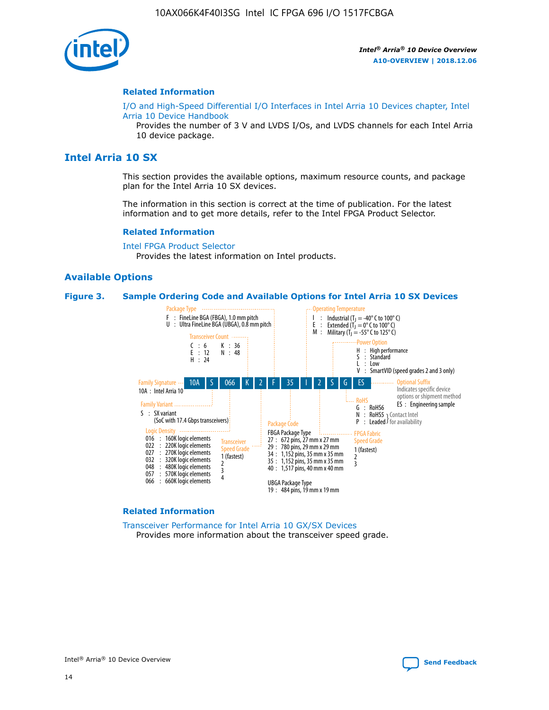

#### **Related Information**

[I/O and High-Speed Differential I/O Interfaces in Intel Arria 10 Devices chapter, Intel](https://www.intel.com/content/www/us/en/programmable/documentation/sam1403482614086.html#sam1403482030321) [Arria 10 Device Handbook](https://www.intel.com/content/www/us/en/programmable/documentation/sam1403482614086.html#sam1403482030321)

Provides the number of 3 V and LVDS I/Os, and LVDS channels for each Intel Arria 10 device package.

## **Intel Arria 10 SX**

This section provides the available options, maximum resource counts, and package plan for the Intel Arria 10 SX devices.

The information in this section is correct at the time of publication. For the latest information and to get more details, refer to the Intel FPGA Product Selector.

#### **Related Information**

[Intel FPGA Product Selector](http://www.altera.com/products/selector/psg-selector.html) Provides the latest information on Intel products.

#### **Available Options**

#### **Figure 3. Sample Ordering Code and Available Options for Intel Arria 10 SX Devices**



#### **Related Information**

[Transceiver Performance for Intel Arria 10 GX/SX Devices](https://www.intel.com/content/www/us/en/programmable/documentation/mcn1413182292568.html#mcn1413213965502) Provides more information about the transceiver speed grade.

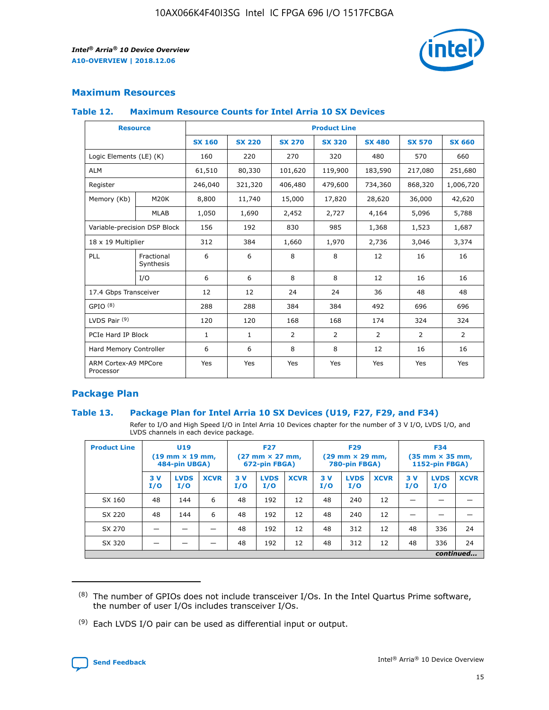

## **Maximum Resources**

#### **Table 12. Maximum Resource Counts for Intel Arria 10 SX Devices**

|                                   | <b>Resource</b>         | <b>Product Line</b> |               |                |                |                |                |                |  |  |  |
|-----------------------------------|-------------------------|---------------------|---------------|----------------|----------------|----------------|----------------|----------------|--|--|--|
|                                   |                         | <b>SX 160</b>       | <b>SX 220</b> | <b>SX 270</b>  | <b>SX 320</b>  | <b>SX 480</b>  | <b>SX 570</b>  | <b>SX 660</b>  |  |  |  |
| Logic Elements (LE) (K)           |                         | 160                 | 220           | 270            | 320            | 480            | 570            | 660            |  |  |  |
| <b>ALM</b>                        |                         | 61,510              | 80,330        | 101,620        | 119,900        | 183,590        | 217,080        | 251,680        |  |  |  |
| Register                          |                         | 246,040             | 321,320       | 406,480        | 479,600        | 734,360        | 868,320        | 1,006,720      |  |  |  |
| Memory (Kb)                       | M <sub>20</sub> K       | 8,800               | 11,740        | 15,000         | 17,820         | 28,620         | 36,000         | 42,620         |  |  |  |
|                                   | <b>MLAB</b>             | 1,050               | 1,690         | 2,452          | 2,727          | 4,164          | 5,096          | 5,788          |  |  |  |
| Variable-precision DSP Block      |                         | 156                 | 192           | 830            | 985            | 1,368          | 1,523          | 1,687          |  |  |  |
|                                   | 18 x 19 Multiplier      |                     | 384           | 1,660          | 1,970          | 2,736          | 3,046          | 3,374          |  |  |  |
| <b>PLL</b>                        | Fractional<br>Synthesis | 6                   | 6             | 8              | 8              | 12             | 16             | 16             |  |  |  |
|                                   | I/O                     | 6                   | 6             | 8              | 8              | 12             | 16             | 16             |  |  |  |
| 17.4 Gbps Transceiver             |                         | 12                  | 12            | 24             | 24             | 36             | 48             | 48             |  |  |  |
| GPIO <sup>(8)</sup>               |                         | 288                 | 288           | 384            | 384            | 492            | 696            | 696            |  |  |  |
| LVDS Pair $(9)$                   |                         | 120                 | 120           | 168            | 168            | 174            | 324            | 324            |  |  |  |
| PCIe Hard IP Block                |                         | $\mathbf{1}$        | $\mathbf{1}$  | $\overline{2}$ | $\overline{2}$ | $\overline{2}$ | $\overline{2}$ | $\overline{2}$ |  |  |  |
| Hard Memory Controller            |                         | 6                   | 6             | 8              | 8              | 12             | 16             | 16             |  |  |  |
| ARM Cortex-A9 MPCore<br>Processor |                         | Yes                 | Yes           | Yes            | Yes            | Yes            | Yes            | Yes            |  |  |  |

## **Package Plan**

#### **Table 13. Package Plan for Intel Arria 10 SX Devices (U19, F27, F29, and F34)**

Refer to I/O and High Speed I/O in Intel Arria 10 Devices chapter for the number of 3 V I/O, LVDS I/O, and LVDS channels in each device package.

| <b>Product Line</b> | U19<br>$(19 \text{ mm} \times 19 \text{ mm})$<br>484-pin UBGA) |                    |             | <b>F27</b><br>$(27 \text{ mm} \times 27 \text{ mm})$ .<br>672-pin FBGA) |                    | <b>F29</b><br>$(29 \text{ mm} \times 29 \text{ mm})$ .<br>780-pin FBGA) |            |                    | <b>F34</b><br>$(35 \text{ mm} \times 35 \text{ mm})$<br><b>1152-pin FBGA)</b> |           |                    |             |
|---------------------|----------------------------------------------------------------|--------------------|-------------|-------------------------------------------------------------------------|--------------------|-------------------------------------------------------------------------|------------|--------------------|-------------------------------------------------------------------------------|-----------|--------------------|-------------|
|                     | 3V<br>I/O                                                      | <b>LVDS</b><br>I/O | <b>XCVR</b> | 3V<br>I/O                                                               | <b>LVDS</b><br>I/O | <b>XCVR</b>                                                             | 3 V<br>I/O | <b>LVDS</b><br>I/O | <b>XCVR</b>                                                                   | 3V<br>I/O | <b>LVDS</b><br>I/O | <b>XCVR</b> |
| SX 160              | 48                                                             | 144                | 6           | 48                                                                      | 192                | 12                                                                      | 48         | 240                | 12                                                                            |           |                    |             |
| SX 220              | 48                                                             | 144                | 6           | 48                                                                      | 192                | 12                                                                      | 48         | 240                | 12                                                                            |           |                    |             |
| SX 270              |                                                                |                    |             | 48                                                                      | 192                | 12                                                                      | 48         | 312                | 12                                                                            | 48        | 336                | 24          |
| SX 320              |                                                                |                    |             | 48                                                                      | 192                | 12                                                                      | 48         | 312                | 12                                                                            | 48        | 336                | 24          |
|                     |                                                                |                    |             |                                                                         |                    |                                                                         |            |                    |                                                                               |           |                    | continued   |

 $(8)$  The number of GPIOs does not include transceiver I/Os. In the Intel Quartus Prime software, the number of user I/Os includes transceiver I/Os.

 $(9)$  Each LVDS I/O pair can be used as differential input or output.

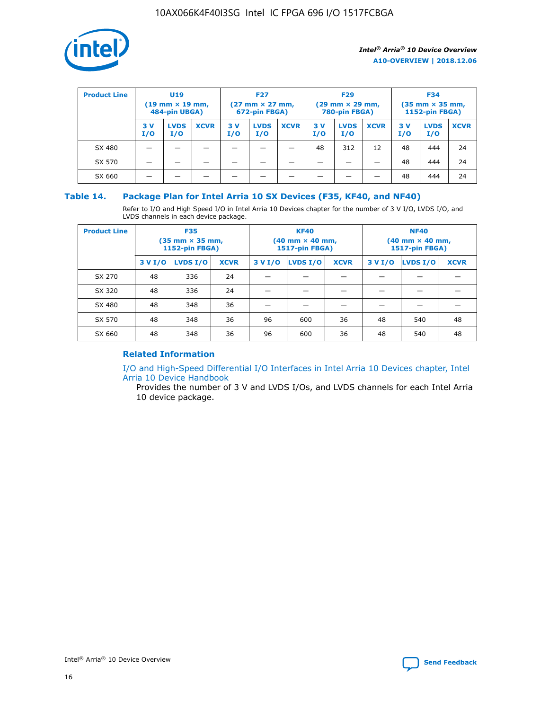

| <b>Product Line</b> | U <sub>19</sub><br>$(19 \text{ mm} \times 19 \text{ mm})$<br>484-pin UBGA) |                    | <b>F27</b><br>$(27 \text{ mm} \times 27 \text{ mm})$<br>672-pin FBGA) |           |                    | <b>F29</b><br>$(29 \text{ mm} \times 29 \text{ mm})$<br>780-pin FBGA) |           |                    | <b>F34</b><br>$(35$ mm $\times$ 35 mm,<br><b>1152-pin FBGA)</b> |           |                    |             |
|---------------------|----------------------------------------------------------------------------|--------------------|-----------------------------------------------------------------------|-----------|--------------------|-----------------------------------------------------------------------|-----------|--------------------|-----------------------------------------------------------------|-----------|--------------------|-------------|
|                     | 3 V<br>I/O                                                                 | <b>LVDS</b><br>I/O | <b>XCVR</b>                                                           | 3V<br>I/O | <b>LVDS</b><br>I/O | <b>XCVR</b>                                                           | 3V<br>I/O | <b>LVDS</b><br>I/O | <b>XCVR</b>                                                     | 3V<br>I/O | <b>LVDS</b><br>I/O | <b>XCVR</b> |
| SX 480              |                                                                            |                    |                                                                       |           |                    |                                                                       | 48        | 312                | 12                                                              | 48        | 444                | 24          |
| SX 570              |                                                                            |                    |                                                                       |           |                    |                                                                       |           |                    |                                                                 | 48        | 444                | 24          |
| SX 660              |                                                                            |                    |                                                                       |           |                    |                                                                       |           |                    |                                                                 | 48        | 444                | 24          |

## **Table 14. Package Plan for Intel Arria 10 SX Devices (F35, KF40, and NF40)**

Refer to I/O and High Speed I/O in Intel Arria 10 Devices chapter for the number of 3 V I/O, LVDS I/O, and LVDS channels in each device package.

| <b>Product Line</b> | <b>F35</b><br>$(35 \text{ mm} \times 35 \text{ mm})$<br><b>1152-pin FBGA)</b> |          |             |                                           | <b>KF40</b><br>(40 mm × 40 mm,<br>1517-pin FBGA) |    | <b>NF40</b><br>$(40 \text{ mm} \times 40 \text{ mm})$<br>1517-pin FBGA) |          |             |  |
|---------------------|-------------------------------------------------------------------------------|----------|-------------|-------------------------------------------|--------------------------------------------------|----|-------------------------------------------------------------------------|----------|-------------|--|
|                     | 3 V I/O                                                                       | LVDS I/O | <b>XCVR</b> | <b>LVDS I/O</b><br><b>XCVR</b><br>3 V I/O |                                                  |    | 3 V I/O                                                                 | LVDS I/O | <b>XCVR</b> |  |
| SX 270              | 48                                                                            | 336      | 24          |                                           |                                                  |    |                                                                         |          |             |  |
| SX 320              | 48                                                                            | 336      | 24          |                                           |                                                  |    |                                                                         |          |             |  |
| SX 480              | 48                                                                            | 348      | 36          |                                           |                                                  |    |                                                                         |          |             |  |
| SX 570              | 48                                                                            | 348      | 36          | 96                                        | 600                                              | 36 | 48                                                                      | 540      | 48          |  |
| SX 660              | 48                                                                            | 348      | 36          | 96                                        | 600                                              | 36 | 48                                                                      | 540      | 48          |  |

## **Related Information**

[I/O and High-Speed Differential I/O Interfaces in Intel Arria 10 Devices chapter, Intel](https://www.intel.com/content/www/us/en/programmable/documentation/sam1403482614086.html#sam1403482030321) [Arria 10 Device Handbook](https://www.intel.com/content/www/us/en/programmable/documentation/sam1403482614086.html#sam1403482030321)

Provides the number of 3 V and LVDS I/Os, and LVDS channels for each Intel Arria 10 device package.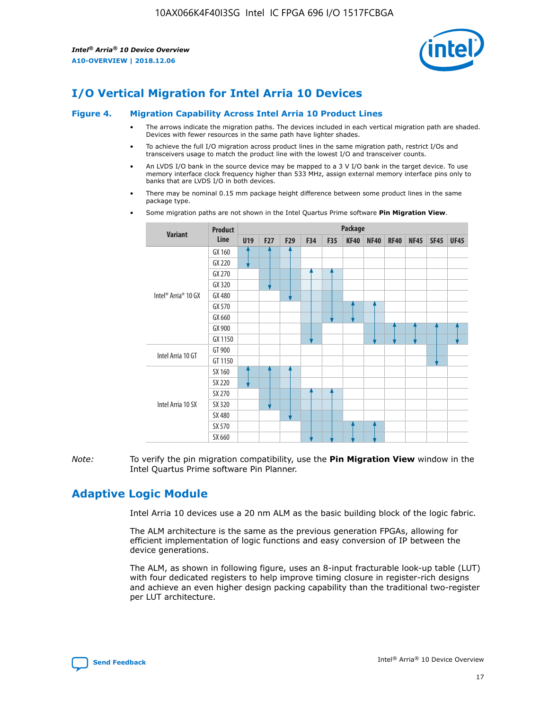

# **I/O Vertical Migration for Intel Arria 10 Devices**

#### **Figure 4. Migration Capability Across Intel Arria 10 Product Lines**

- The arrows indicate the migration paths. The devices included in each vertical migration path are shaded. Devices with fewer resources in the same path have lighter shades.
- To achieve the full I/O migration across product lines in the same migration path, restrict I/Os and transceivers usage to match the product line with the lowest I/O and transceiver counts.
- An LVDS I/O bank in the source device may be mapped to a 3 V I/O bank in the target device. To use memory interface clock frequency higher than 533 MHz, assign external memory interface pins only to banks that are LVDS I/O in both devices.
- There may be nominal 0.15 mm package height difference between some product lines in the same package type.
	- **Variant Product Line Package U19 F27 F29 F34 F35 KF40 NF40 RF40 NF45 SF45 UF45** Intel® Arria® 10 GX GX 160 GX 220 GX 270 GX 320 GX 480 GX 570 GX 660 GX 900 GX 1150 Intel Arria 10 GT GT 900 GT 1150 Intel Arria 10 SX SX 160 SX 220 SX 270 SX 320 SX 480 SX 570 SX 660
- Some migration paths are not shown in the Intel Quartus Prime software **Pin Migration View**.

*Note:* To verify the pin migration compatibility, use the **Pin Migration View** window in the Intel Quartus Prime software Pin Planner.

# **Adaptive Logic Module**

Intel Arria 10 devices use a 20 nm ALM as the basic building block of the logic fabric.

The ALM architecture is the same as the previous generation FPGAs, allowing for efficient implementation of logic functions and easy conversion of IP between the device generations.

The ALM, as shown in following figure, uses an 8-input fracturable look-up table (LUT) with four dedicated registers to help improve timing closure in register-rich designs and achieve an even higher design packing capability than the traditional two-register per LUT architecture.

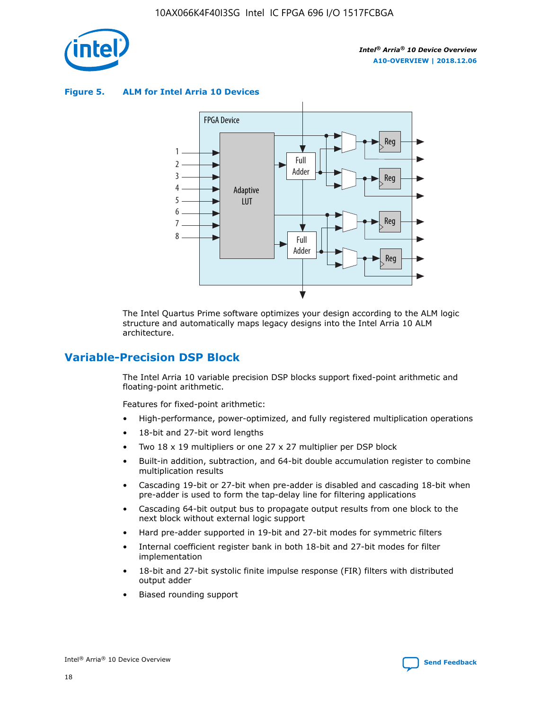

**Figure 5. ALM for Intel Arria 10 Devices**



The Intel Quartus Prime software optimizes your design according to the ALM logic structure and automatically maps legacy designs into the Intel Arria 10 ALM architecture.

## **Variable-Precision DSP Block**

The Intel Arria 10 variable precision DSP blocks support fixed-point arithmetic and floating-point arithmetic.

Features for fixed-point arithmetic:

- High-performance, power-optimized, and fully registered multiplication operations
- 18-bit and 27-bit word lengths
- Two 18 x 19 multipliers or one 27 x 27 multiplier per DSP block
- Built-in addition, subtraction, and 64-bit double accumulation register to combine multiplication results
- Cascading 19-bit or 27-bit when pre-adder is disabled and cascading 18-bit when pre-adder is used to form the tap-delay line for filtering applications
- Cascading 64-bit output bus to propagate output results from one block to the next block without external logic support
- Hard pre-adder supported in 19-bit and 27-bit modes for symmetric filters
- Internal coefficient register bank in both 18-bit and 27-bit modes for filter implementation
- 18-bit and 27-bit systolic finite impulse response (FIR) filters with distributed output adder
- Biased rounding support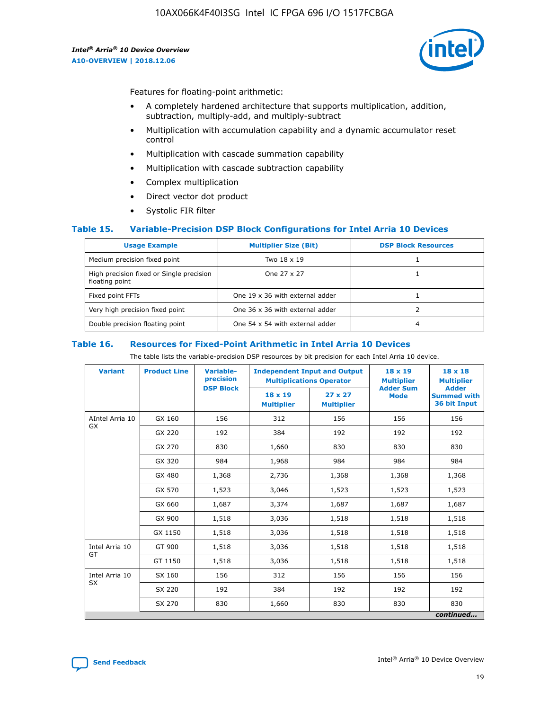

Features for floating-point arithmetic:

- A completely hardened architecture that supports multiplication, addition, subtraction, multiply-add, and multiply-subtract
- Multiplication with accumulation capability and a dynamic accumulator reset control
- Multiplication with cascade summation capability
- Multiplication with cascade subtraction capability
- Complex multiplication
- Direct vector dot product
- Systolic FIR filter

#### **Table 15. Variable-Precision DSP Block Configurations for Intel Arria 10 Devices**

| <b>Usage Example</b>                                       | <b>Multiplier Size (Bit)</b>    | <b>DSP Block Resources</b> |
|------------------------------------------------------------|---------------------------------|----------------------------|
| Medium precision fixed point                               | Two 18 x 19                     |                            |
| High precision fixed or Single precision<br>floating point | One 27 x 27                     |                            |
| Fixed point FFTs                                           | One 19 x 36 with external adder |                            |
| Very high precision fixed point                            | One 36 x 36 with external adder |                            |
| Double precision floating point                            | One 54 x 54 with external adder | 4                          |

#### **Table 16. Resources for Fixed-Point Arithmetic in Intel Arria 10 Devices**

The table lists the variable-precision DSP resources by bit precision for each Intel Arria 10 device.

| <b>Variant</b>        | <b>Product Line</b> | <b>Variable-</b><br>precision<br><b>DSP Block</b> | <b>Independent Input and Output</b><br><b>Multiplications Operator</b> |                                     | 18 x 19<br><b>Multiplier</b><br><b>Adder Sum</b> | $18 \times 18$<br><b>Multiplier</b><br><b>Adder</b> |
|-----------------------|---------------------|---------------------------------------------------|------------------------------------------------------------------------|-------------------------------------|--------------------------------------------------|-----------------------------------------------------|
|                       |                     |                                                   | 18 x 19<br><b>Multiplier</b>                                           | $27 \times 27$<br><b>Multiplier</b> | <b>Mode</b>                                      | <b>Summed with</b><br>36 bit Input                  |
| AIntel Arria 10<br>GX | GX 160              | 156                                               | 312                                                                    | 156                                 | 156                                              | 156                                                 |
|                       | GX 220              | 192                                               | 384                                                                    | 192                                 | 192                                              | 192                                                 |
|                       | GX 270              | 830                                               | 1,660                                                                  | 830                                 | 830                                              | 830                                                 |
|                       | GX 320              | 984                                               | 1,968                                                                  | 984                                 | 984                                              | 984                                                 |
|                       | GX 480              | 1,368                                             | 2,736                                                                  | 1,368                               | 1,368                                            | 1,368                                               |
|                       | GX 570              | 1,523                                             | 3,046                                                                  | 1,523                               | 1,523                                            | 1,523                                               |
|                       | GX 660              | 1,687                                             | 3,374                                                                  | 1,687                               | 1,687                                            | 1,687                                               |
|                       | GX 900              | 1,518                                             | 3,036                                                                  | 1,518                               | 1,518                                            | 1,518                                               |
|                       | GX 1150             | 1,518                                             | 3,036                                                                  | 1,518                               | 1,518                                            | 1,518                                               |
| Intel Arria 10        | GT 900              | 1,518                                             | 3,036                                                                  | 1,518                               | 1,518                                            | 1,518                                               |
| GT                    | GT 1150             | 1,518                                             | 3,036                                                                  | 1,518                               | 1,518                                            | 1,518                                               |
| Intel Arria 10        | SX 160              | 156                                               | 312                                                                    | 156                                 | 156                                              | 156                                                 |
| <b>SX</b>             | SX 220              | 192                                               | 384                                                                    | 192                                 | 192                                              | 192                                                 |
|                       | SX 270              | 830                                               | 1,660                                                                  | 830                                 | 830                                              | 830                                                 |
|                       |                     |                                                   |                                                                        |                                     |                                                  | continued                                           |

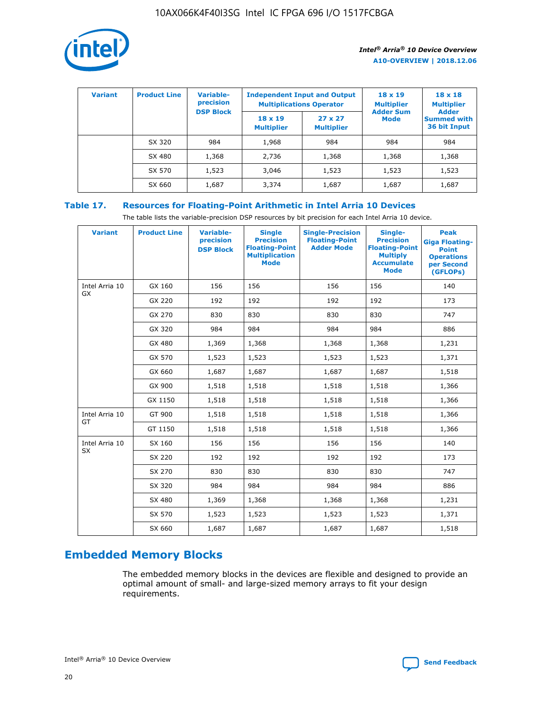

| <b>Variant</b> | <b>Product Line</b> | <b>Variable-</b><br>precision<br><b>DSP Block</b> | <b>Independent Input and Output</b><br><b>Multiplications Operator</b> |                                     | $18 \times 19$<br><b>Multiplier</b><br><b>Adder Sum</b> | $18 \times 18$<br><b>Multiplier</b><br><b>Adder</b> |  |
|----------------|---------------------|---------------------------------------------------|------------------------------------------------------------------------|-------------------------------------|---------------------------------------------------------|-----------------------------------------------------|--|
|                |                     |                                                   | $18 \times 19$<br><b>Multiplier</b>                                    | $27 \times 27$<br><b>Multiplier</b> | <b>Mode</b>                                             | <b>Summed with</b><br>36 bit Input                  |  |
|                | SX 320              | 984                                               | 1,968                                                                  | 984                                 | 984                                                     | 984                                                 |  |
|                | SX 480              | 1,368                                             | 2,736                                                                  | 1,368                               | 1,368                                                   | 1,368                                               |  |
|                | SX 570              | 1,523                                             | 3,046                                                                  | 1,523                               | 1,523                                                   | 1,523                                               |  |
|                | SX 660              | 1,687                                             | 3,374                                                                  | 1,687                               | 1,687                                                   | 1,687                                               |  |

## **Table 17. Resources for Floating-Point Arithmetic in Intel Arria 10 Devices**

The table lists the variable-precision DSP resources by bit precision for each Intel Arria 10 device.

| <b>Variant</b>              | <b>Product Line</b> | <b>Variable-</b><br>precision<br><b>DSP Block</b> | <b>Single</b><br><b>Precision</b><br><b>Floating-Point</b><br><b>Multiplication</b><br><b>Mode</b> | <b>Single-Precision</b><br><b>Floating-Point</b><br><b>Adder Mode</b> | Single-<br><b>Precision</b><br><b>Floating-Point</b><br><b>Multiply</b><br><b>Accumulate</b><br><b>Mode</b> | <b>Peak</b><br><b>Giga Floating-</b><br><b>Point</b><br><b>Operations</b><br>per Second<br>(GFLOPs) |
|-----------------------------|---------------------|---------------------------------------------------|----------------------------------------------------------------------------------------------------|-----------------------------------------------------------------------|-------------------------------------------------------------------------------------------------------------|-----------------------------------------------------------------------------------------------------|
| Intel Arria 10<br>GX        | GX 160              | 156                                               | 156                                                                                                | 156                                                                   | 156                                                                                                         | 140                                                                                                 |
|                             | GX 220              | 192                                               | 192                                                                                                | 192                                                                   | 192                                                                                                         | 173                                                                                                 |
|                             | GX 270              | 830                                               | 830                                                                                                | 830                                                                   | 830                                                                                                         | 747                                                                                                 |
|                             | GX 320              | 984                                               | 984                                                                                                | 984                                                                   | 984                                                                                                         | 886                                                                                                 |
|                             | GX 480              | 1,369                                             | 1,368                                                                                              | 1,368                                                                 | 1,368                                                                                                       | 1,231                                                                                               |
|                             | GX 570              | 1,523                                             | 1,523                                                                                              | 1,523                                                                 | 1,523                                                                                                       | 1,371                                                                                               |
|                             | GX 660              | 1,687                                             | 1,687                                                                                              | 1,687                                                                 | 1,687                                                                                                       | 1,518                                                                                               |
|                             | GX 900              | 1,518                                             | 1,518                                                                                              | 1,518                                                                 | 1,518                                                                                                       | 1,366                                                                                               |
|                             | GX 1150             | 1,518                                             | 1,518                                                                                              | 1,518                                                                 | 1,518                                                                                                       | 1,366                                                                                               |
| Intel Arria 10              | GT 900              | 1,518                                             | 1,518                                                                                              | 1,518                                                                 | 1,518                                                                                                       | 1,366                                                                                               |
| GT                          | GT 1150             | 1,518                                             | 1,518                                                                                              | 1,518                                                                 | 1,518                                                                                                       | 1,366                                                                                               |
| Intel Arria 10<br><b>SX</b> | SX 160              | 156                                               | 156                                                                                                | 156                                                                   | 156                                                                                                         | 140                                                                                                 |
|                             | SX 220              | 192                                               | 192                                                                                                | 192                                                                   | 192                                                                                                         | 173                                                                                                 |
|                             | SX 270              | 830                                               | 830                                                                                                | 830                                                                   | 830                                                                                                         | 747                                                                                                 |
|                             | SX 320              | 984                                               | 984                                                                                                | 984                                                                   | 984                                                                                                         | 886                                                                                                 |
|                             | SX 480              | 1,369                                             | 1,368                                                                                              | 1,368                                                                 | 1,368                                                                                                       | 1,231                                                                                               |
|                             | SX 570              | 1,523                                             | 1,523                                                                                              | 1,523                                                                 | 1,523                                                                                                       | 1,371                                                                                               |
|                             | SX 660              | 1,687                                             | 1,687                                                                                              | 1,687                                                                 | 1,687                                                                                                       | 1,518                                                                                               |

# **Embedded Memory Blocks**

The embedded memory blocks in the devices are flexible and designed to provide an optimal amount of small- and large-sized memory arrays to fit your design requirements.

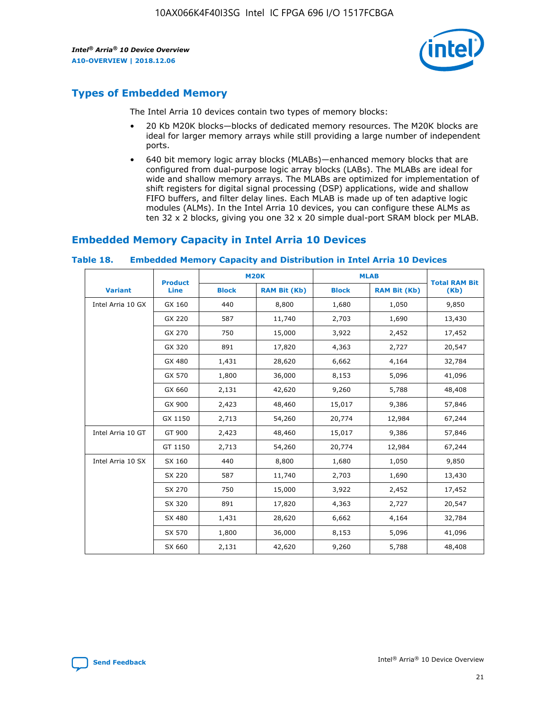

## **Types of Embedded Memory**

The Intel Arria 10 devices contain two types of memory blocks:

- 20 Kb M20K blocks—blocks of dedicated memory resources. The M20K blocks are ideal for larger memory arrays while still providing a large number of independent ports.
- 640 bit memory logic array blocks (MLABs)—enhanced memory blocks that are configured from dual-purpose logic array blocks (LABs). The MLABs are ideal for wide and shallow memory arrays. The MLABs are optimized for implementation of shift registers for digital signal processing (DSP) applications, wide and shallow FIFO buffers, and filter delay lines. Each MLAB is made up of ten adaptive logic modules (ALMs). In the Intel Arria 10 devices, you can configure these ALMs as ten 32 x 2 blocks, giving you one 32 x 20 simple dual-port SRAM block per MLAB.

## **Embedded Memory Capacity in Intel Arria 10 Devices**

|                   | <b>Product</b> |              | <b>M20K</b>         | <b>MLAB</b>  |                     | <b>Total RAM Bit</b> |
|-------------------|----------------|--------------|---------------------|--------------|---------------------|----------------------|
| <b>Variant</b>    | <b>Line</b>    | <b>Block</b> | <b>RAM Bit (Kb)</b> | <b>Block</b> | <b>RAM Bit (Kb)</b> | (Kb)                 |
| Intel Arria 10 GX | GX 160         | 440          | 8,800               | 1,680        | 1,050               | 9,850                |
|                   | GX 220         | 587          | 11,740              | 2,703        | 1,690               | 13,430               |
|                   | GX 270         | 750          | 15,000              | 3,922        | 2,452               | 17,452               |
|                   | GX 320         | 891          | 17,820              | 4,363        | 2,727               | 20,547               |
|                   | GX 480         | 1,431        | 28,620              | 6,662        | 4,164               | 32,784               |
|                   | GX 570         | 1,800        | 36,000              | 8,153        | 5,096               | 41,096               |
|                   | GX 660         | 2,131        | 42,620              | 9,260        | 5,788               | 48,408               |
|                   | GX 900         | 2,423        | 48,460              | 15,017       | 9,386               | 57,846               |
|                   | GX 1150        | 2,713        | 54,260              | 20,774       | 12,984              | 67,244               |
| Intel Arria 10 GT | GT 900         | 2,423        | 48,460              | 15,017       | 9,386               | 57,846               |
|                   | GT 1150        | 2,713        | 54,260              | 20,774       | 12,984              | 67,244               |
| Intel Arria 10 SX | SX 160         | 440          | 8,800               | 1,680        | 1,050               | 9,850                |
|                   | SX 220         | 587          | 11,740              | 2,703        | 1,690               | 13,430               |
|                   | SX 270         | 750          | 15,000              | 3,922        | 2,452               | 17,452               |
|                   | SX 320         | 891          | 17,820              | 4,363        | 2,727               | 20,547               |
|                   | SX 480         | 1,431        | 28,620              | 6,662        | 4,164               | 32,784               |
|                   | SX 570         | 1,800        | 36,000              | 8,153        | 5,096               | 41,096               |
|                   | SX 660         | 2,131        | 42,620              | 9,260        | 5,788               | 48,408               |

#### **Table 18. Embedded Memory Capacity and Distribution in Intel Arria 10 Devices**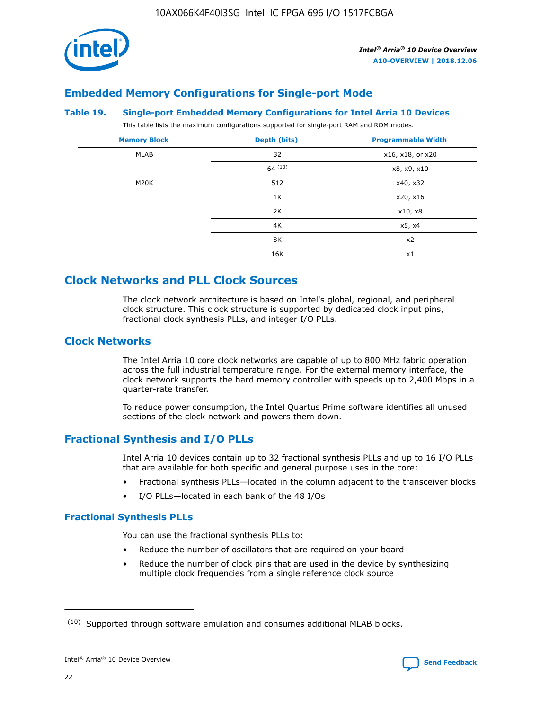

## **Embedded Memory Configurations for Single-port Mode**

#### **Table 19. Single-port Embedded Memory Configurations for Intel Arria 10 Devices**

This table lists the maximum configurations supported for single-port RAM and ROM modes.

| <b>Memory Block</b> | Depth (bits) | <b>Programmable Width</b> |
|---------------------|--------------|---------------------------|
| MLAB                | 32           | x16, x18, or x20          |
|                     | 64(10)       | x8, x9, x10               |
| M20K                | 512          | x40, x32                  |
|                     | 1K           | x20, x16                  |
|                     | 2K           | x10, x8                   |
|                     | 4K           | x5, x4                    |
|                     | 8K           | x2                        |
|                     | 16K          | x1                        |

# **Clock Networks and PLL Clock Sources**

The clock network architecture is based on Intel's global, regional, and peripheral clock structure. This clock structure is supported by dedicated clock input pins, fractional clock synthesis PLLs, and integer I/O PLLs.

## **Clock Networks**

The Intel Arria 10 core clock networks are capable of up to 800 MHz fabric operation across the full industrial temperature range. For the external memory interface, the clock network supports the hard memory controller with speeds up to 2,400 Mbps in a quarter-rate transfer.

To reduce power consumption, the Intel Quartus Prime software identifies all unused sections of the clock network and powers them down.

## **Fractional Synthesis and I/O PLLs**

Intel Arria 10 devices contain up to 32 fractional synthesis PLLs and up to 16 I/O PLLs that are available for both specific and general purpose uses in the core:

- Fractional synthesis PLLs—located in the column adjacent to the transceiver blocks
- I/O PLLs—located in each bank of the 48 I/Os

## **Fractional Synthesis PLLs**

You can use the fractional synthesis PLLs to:

- Reduce the number of oscillators that are required on your board
- Reduce the number of clock pins that are used in the device by synthesizing multiple clock frequencies from a single reference clock source

<sup>(10)</sup> Supported through software emulation and consumes additional MLAB blocks.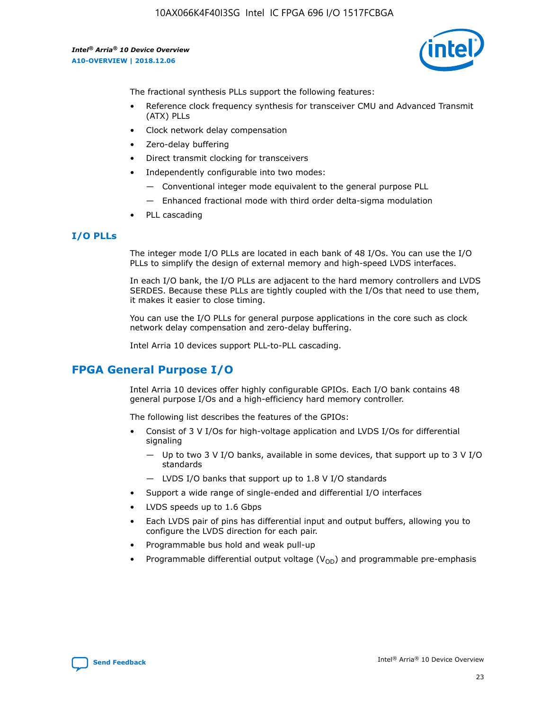

The fractional synthesis PLLs support the following features:

- Reference clock frequency synthesis for transceiver CMU and Advanced Transmit (ATX) PLLs
- Clock network delay compensation
- Zero-delay buffering
- Direct transmit clocking for transceivers
- Independently configurable into two modes:
	- Conventional integer mode equivalent to the general purpose PLL
	- Enhanced fractional mode with third order delta-sigma modulation
- PLL cascading

#### **I/O PLLs**

The integer mode I/O PLLs are located in each bank of 48 I/Os. You can use the I/O PLLs to simplify the design of external memory and high-speed LVDS interfaces.

In each I/O bank, the I/O PLLs are adjacent to the hard memory controllers and LVDS SERDES. Because these PLLs are tightly coupled with the I/Os that need to use them, it makes it easier to close timing.

You can use the I/O PLLs for general purpose applications in the core such as clock network delay compensation and zero-delay buffering.

Intel Arria 10 devices support PLL-to-PLL cascading.

## **FPGA General Purpose I/O**

Intel Arria 10 devices offer highly configurable GPIOs. Each I/O bank contains 48 general purpose I/Os and a high-efficiency hard memory controller.

The following list describes the features of the GPIOs:

- Consist of 3 V I/Os for high-voltage application and LVDS I/Os for differential signaling
	- Up to two 3 V I/O banks, available in some devices, that support up to 3 V I/O standards
	- LVDS I/O banks that support up to 1.8 V I/O standards
- Support a wide range of single-ended and differential I/O interfaces
- LVDS speeds up to 1.6 Gbps
- Each LVDS pair of pins has differential input and output buffers, allowing you to configure the LVDS direction for each pair.
- Programmable bus hold and weak pull-up
- Programmable differential output voltage  $(V_{OD})$  and programmable pre-emphasis

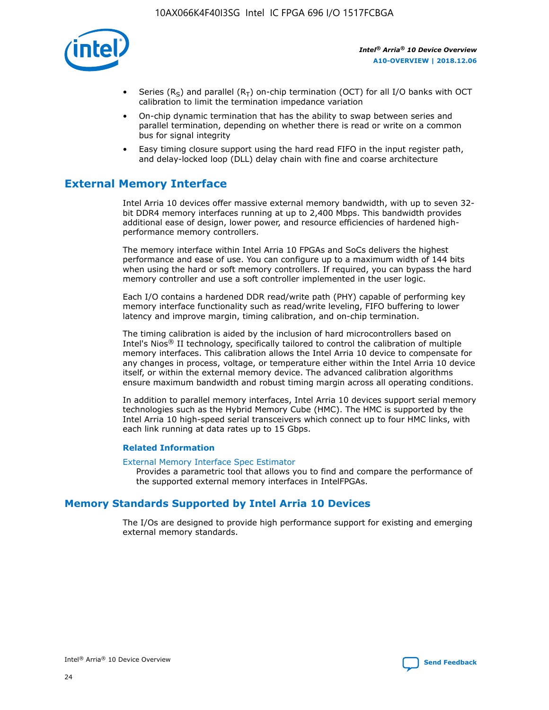

- Series (R<sub>S</sub>) and parallel (R<sub>T</sub>) on-chip termination (OCT) for all I/O banks with OCT calibration to limit the termination impedance variation
- On-chip dynamic termination that has the ability to swap between series and parallel termination, depending on whether there is read or write on a common bus for signal integrity
- Easy timing closure support using the hard read FIFO in the input register path, and delay-locked loop (DLL) delay chain with fine and coarse architecture

# **External Memory Interface**

Intel Arria 10 devices offer massive external memory bandwidth, with up to seven 32 bit DDR4 memory interfaces running at up to 2,400 Mbps. This bandwidth provides additional ease of design, lower power, and resource efficiencies of hardened highperformance memory controllers.

The memory interface within Intel Arria 10 FPGAs and SoCs delivers the highest performance and ease of use. You can configure up to a maximum width of 144 bits when using the hard or soft memory controllers. If required, you can bypass the hard memory controller and use a soft controller implemented in the user logic.

Each I/O contains a hardened DDR read/write path (PHY) capable of performing key memory interface functionality such as read/write leveling, FIFO buffering to lower latency and improve margin, timing calibration, and on-chip termination.

The timing calibration is aided by the inclusion of hard microcontrollers based on Intel's Nios® II technology, specifically tailored to control the calibration of multiple memory interfaces. This calibration allows the Intel Arria 10 device to compensate for any changes in process, voltage, or temperature either within the Intel Arria 10 device itself, or within the external memory device. The advanced calibration algorithms ensure maximum bandwidth and robust timing margin across all operating conditions.

In addition to parallel memory interfaces, Intel Arria 10 devices support serial memory technologies such as the Hybrid Memory Cube (HMC). The HMC is supported by the Intel Arria 10 high-speed serial transceivers which connect up to four HMC links, with each link running at data rates up to 15 Gbps.

#### **Related Information**

#### [External Memory Interface Spec Estimator](http://www.altera.com/technology/memory/estimator/mem-emif-index.html)

Provides a parametric tool that allows you to find and compare the performance of the supported external memory interfaces in IntelFPGAs.

## **Memory Standards Supported by Intel Arria 10 Devices**

The I/Os are designed to provide high performance support for existing and emerging external memory standards.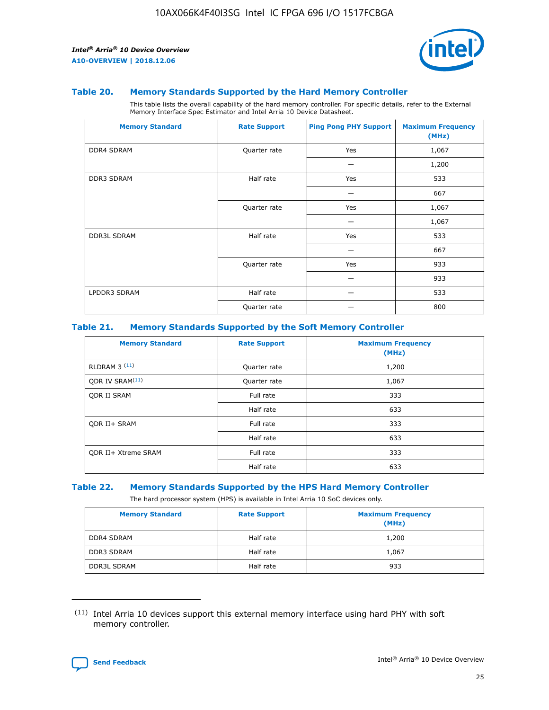

#### **Table 20. Memory Standards Supported by the Hard Memory Controller**

This table lists the overall capability of the hard memory controller. For specific details, refer to the External Memory Interface Spec Estimator and Intel Arria 10 Device Datasheet.

| <b>Memory Standard</b> | <b>Rate Support</b> | <b>Ping Pong PHY Support</b> | <b>Maximum Frequency</b><br>(MHz) |
|------------------------|---------------------|------------------------------|-----------------------------------|
| <b>DDR4 SDRAM</b>      | Quarter rate        | Yes                          | 1,067                             |
|                        |                     |                              | 1,200                             |
| DDR3 SDRAM             | Half rate           | Yes                          | 533                               |
|                        |                     |                              | 667                               |
|                        | Quarter rate        | Yes                          | 1,067                             |
|                        |                     |                              | 1,067                             |
| <b>DDR3L SDRAM</b>     | Half rate           | Yes                          | 533                               |
|                        |                     |                              | 667                               |
|                        | Quarter rate        | Yes                          | 933                               |
|                        |                     |                              | 933                               |
| LPDDR3 SDRAM           | Half rate           |                              | 533                               |
|                        | Quarter rate        |                              | 800                               |

#### **Table 21. Memory Standards Supported by the Soft Memory Controller**

| <b>Memory Standard</b>      | <b>Rate Support</b> | <b>Maximum Frequency</b><br>(MHz) |
|-----------------------------|---------------------|-----------------------------------|
| <b>RLDRAM 3 (11)</b>        | Quarter rate        | 1,200                             |
| ODR IV SRAM <sup>(11)</sup> | Quarter rate        | 1,067                             |
| <b>ODR II SRAM</b>          | Full rate           | 333                               |
|                             | Half rate           | 633                               |
| <b>ODR II+ SRAM</b>         | Full rate           | 333                               |
|                             | Half rate           | 633                               |
| <b>ODR II+ Xtreme SRAM</b>  | Full rate           | 333                               |
|                             | Half rate           | 633                               |

#### **Table 22. Memory Standards Supported by the HPS Hard Memory Controller**

The hard processor system (HPS) is available in Intel Arria 10 SoC devices only.

| <b>Memory Standard</b> | <b>Rate Support</b> | <b>Maximum Frequency</b><br>(MHz) |
|------------------------|---------------------|-----------------------------------|
| <b>DDR4 SDRAM</b>      | Half rate           | 1,200                             |
| <b>DDR3 SDRAM</b>      | Half rate           | 1,067                             |
| <b>DDR3L SDRAM</b>     | Half rate           | 933                               |

<sup>(11)</sup> Intel Arria 10 devices support this external memory interface using hard PHY with soft memory controller.

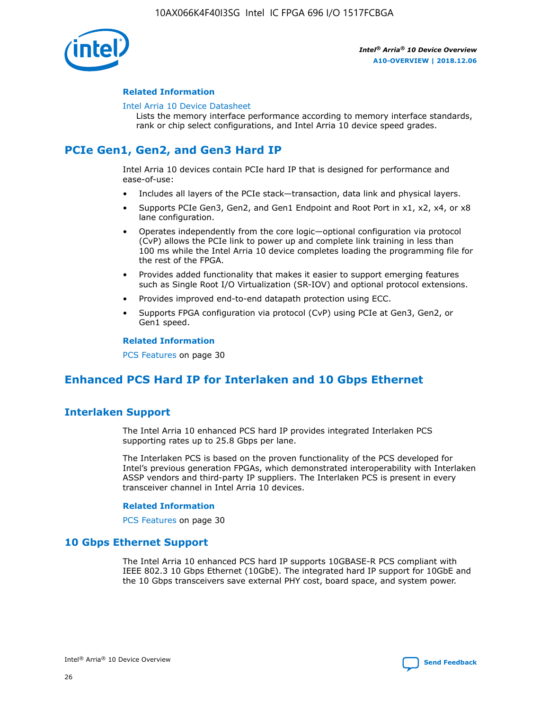

#### **Related Information**

#### [Intel Arria 10 Device Datasheet](https://www.intel.com/content/www/us/en/programmable/documentation/mcn1413182292568.html#mcn1413182153340)

Lists the memory interface performance according to memory interface standards, rank or chip select configurations, and Intel Arria 10 device speed grades.

# **PCIe Gen1, Gen2, and Gen3 Hard IP**

Intel Arria 10 devices contain PCIe hard IP that is designed for performance and ease-of-use:

- Includes all layers of the PCIe stack—transaction, data link and physical layers.
- Supports PCIe Gen3, Gen2, and Gen1 Endpoint and Root Port in x1, x2, x4, or x8 lane configuration.
- Operates independently from the core logic—optional configuration via protocol (CvP) allows the PCIe link to power up and complete link training in less than 100 ms while the Intel Arria 10 device completes loading the programming file for the rest of the FPGA.
- Provides added functionality that makes it easier to support emerging features such as Single Root I/O Virtualization (SR-IOV) and optional protocol extensions.
- Provides improved end-to-end datapath protection using ECC.
- Supports FPGA configuration via protocol (CvP) using PCIe at Gen3, Gen2, or Gen1 speed.

#### **Related Information**

PCS Features on page 30

# **Enhanced PCS Hard IP for Interlaken and 10 Gbps Ethernet**

## **Interlaken Support**

The Intel Arria 10 enhanced PCS hard IP provides integrated Interlaken PCS supporting rates up to 25.8 Gbps per lane.

The Interlaken PCS is based on the proven functionality of the PCS developed for Intel's previous generation FPGAs, which demonstrated interoperability with Interlaken ASSP vendors and third-party IP suppliers. The Interlaken PCS is present in every transceiver channel in Intel Arria 10 devices.

#### **Related Information**

PCS Features on page 30

## **10 Gbps Ethernet Support**

The Intel Arria 10 enhanced PCS hard IP supports 10GBASE-R PCS compliant with IEEE 802.3 10 Gbps Ethernet (10GbE). The integrated hard IP support for 10GbE and the 10 Gbps transceivers save external PHY cost, board space, and system power.

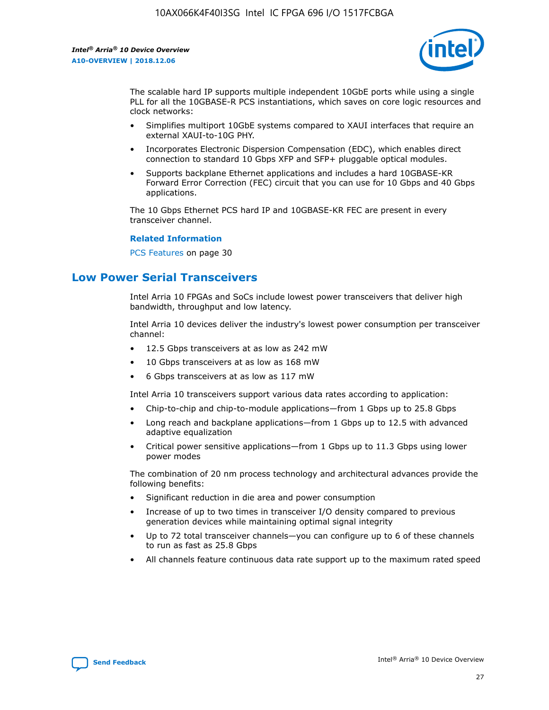

The scalable hard IP supports multiple independent 10GbE ports while using a single PLL for all the 10GBASE-R PCS instantiations, which saves on core logic resources and clock networks:

- Simplifies multiport 10GbE systems compared to XAUI interfaces that require an external XAUI-to-10G PHY.
- Incorporates Electronic Dispersion Compensation (EDC), which enables direct connection to standard 10 Gbps XFP and SFP+ pluggable optical modules.
- Supports backplane Ethernet applications and includes a hard 10GBASE-KR Forward Error Correction (FEC) circuit that you can use for 10 Gbps and 40 Gbps applications.

The 10 Gbps Ethernet PCS hard IP and 10GBASE-KR FEC are present in every transceiver channel.

#### **Related Information**

PCS Features on page 30

# **Low Power Serial Transceivers**

Intel Arria 10 FPGAs and SoCs include lowest power transceivers that deliver high bandwidth, throughput and low latency.

Intel Arria 10 devices deliver the industry's lowest power consumption per transceiver channel:

- 12.5 Gbps transceivers at as low as 242 mW
- 10 Gbps transceivers at as low as 168 mW
- 6 Gbps transceivers at as low as 117 mW

Intel Arria 10 transceivers support various data rates according to application:

- Chip-to-chip and chip-to-module applications—from 1 Gbps up to 25.8 Gbps
- Long reach and backplane applications—from 1 Gbps up to 12.5 with advanced adaptive equalization
- Critical power sensitive applications—from 1 Gbps up to 11.3 Gbps using lower power modes

The combination of 20 nm process technology and architectural advances provide the following benefits:

- Significant reduction in die area and power consumption
- Increase of up to two times in transceiver I/O density compared to previous generation devices while maintaining optimal signal integrity
- Up to 72 total transceiver channels—you can configure up to 6 of these channels to run as fast as 25.8 Gbps
- All channels feature continuous data rate support up to the maximum rated speed

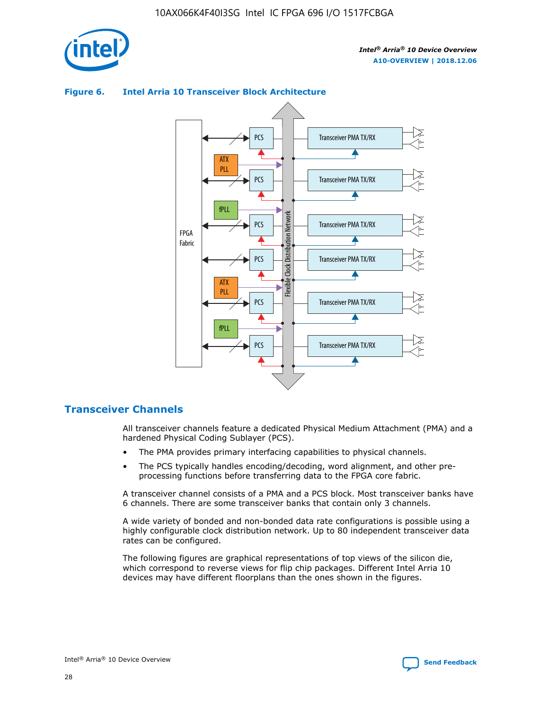

## Transceiver PMA TX/RX PCS ATX PLL Transceiver PMA TX/RX PCS fPLL Network Flexible Clock Distribution Network PCS Transceiver PMA TX/RX FPGA **Clock Distribution** Fabric PCS Transceiver PMA TX/RX ATX Flexible PLL PCS Transceiver PMA TX/RX ▲ fPLL Transceiver PMA TX/RX PCS 4

## **Figure 6. Intel Arria 10 Transceiver Block Architecture**

## **Transceiver Channels**

All transceiver channels feature a dedicated Physical Medium Attachment (PMA) and a hardened Physical Coding Sublayer (PCS).

- The PMA provides primary interfacing capabilities to physical channels.
- The PCS typically handles encoding/decoding, word alignment, and other preprocessing functions before transferring data to the FPGA core fabric.

A transceiver channel consists of a PMA and a PCS block. Most transceiver banks have 6 channels. There are some transceiver banks that contain only 3 channels.

A wide variety of bonded and non-bonded data rate configurations is possible using a highly configurable clock distribution network. Up to 80 independent transceiver data rates can be configured.

The following figures are graphical representations of top views of the silicon die, which correspond to reverse views for flip chip packages. Different Intel Arria 10 devices may have different floorplans than the ones shown in the figures.

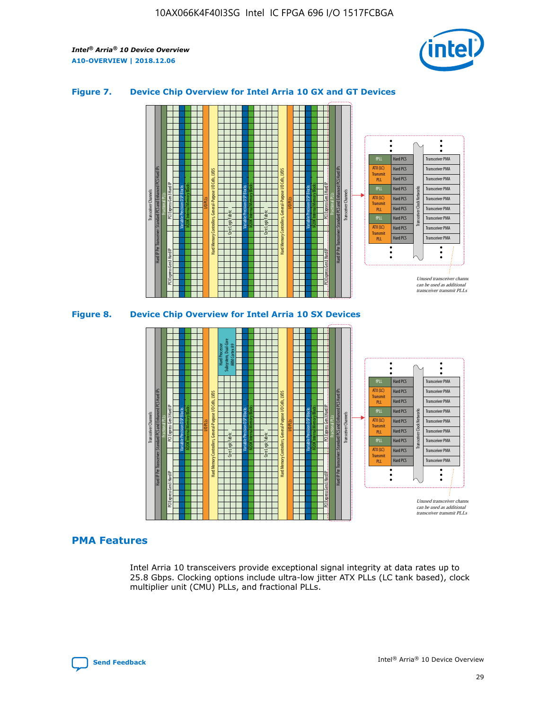

## **Figure 7. Device Chip Overview for Intel Arria 10 GX and GT Devices**



M20K Internal Memory Blocks Core Logic Fabric Transceiver Channels Hard IP Per Transceiver: Standard PCS and Enhanced PCS Hard IPs PCI Express Gen3 Hard IP Fractional PLLs M20K Internal Memory Blocks PCI Express Gen3 Hard IP Variable Precision DSP Blocks I/O PLLs Hard Memory Controllers, General-Purpose I/O Cells, LVDS Hard Processor Subsystem, Dual-Core ARM Cortex A9 M20K Internal Memory Blocks Variable Precision DSP Blocks M20K Internal Memory Blocks Core Logic Fabric I/O PLLs Hard Memory Controllers, General-Purpose I/O Cells, LVDS M20K Internal Memory Blocks Variable Precision DSP Blocks M20K Internal Memory Blocks Transceiver Channels Hard IP Per Transceiver: Standard PCS and Enhanced PCS Hard IPs PCI Express Gen3 Hard IP Fractional PLLs PCI Express Gen3 Hard IP  $\ddot{\cdot}$ Hard PCS Transceiver PMA fPLL ATX (LC) Hard PCS Transceiver PMA **Transmit** Hard PCS Transceiver PMA PLL fPLL Hard PCS Transceiver PMA Transceiver Clock Networks ATX (LC) Hard PCS Transceiver PMA Transmi Hard PCS Transceiver PMA PLL fPLL Hard PCS Transceiver PMA Transceiver PMA Hard PCS ATX (LC) **Transmit** Hard PCS Transceiver PMA PLL Unused transceiver chann can be used as additional transceiver transmit PLLs

#### **PMA Features**

Intel Arria 10 transceivers provide exceptional signal integrity at data rates up to 25.8 Gbps. Clocking options include ultra-low jitter ATX PLLs (LC tank based), clock multiplier unit (CMU) PLLs, and fractional PLLs.

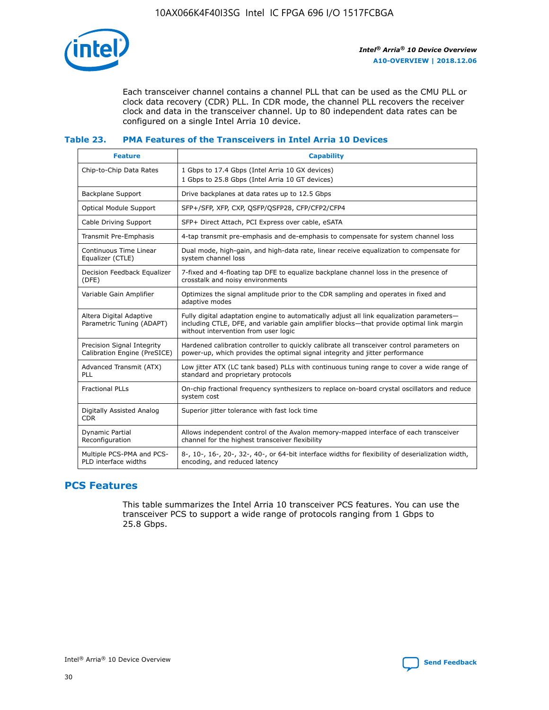

Each transceiver channel contains a channel PLL that can be used as the CMU PLL or clock data recovery (CDR) PLL. In CDR mode, the channel PLL recovers the receiver clock and data in the transceiver channel. Up to 80 independent data rates can be configured on a single Intel Arria 10 device.

#### **Table 23. PMA Features of the Transceivers in Intel Arria 10 Devices**

| <b>Feature</b>                                             | <b>Capability</b>                                                                                                                                                                                                             |
|------------------------------------------------------------|-------------------------------------------------------------------------------------------------------------------------------------------------------------------------------------------------------------------------------|
| Chip-to-Chip Data Rates                                    | 1 Gbps to 17.4 Gbps (Intel Arria 10 GX devices)<br>1 Gbps to 25.8 Gbps (Intel Arria 10 GT devices)                                                                                                                            |
| <b>Backplane Support</b>                                   | Drive backplanes at data rates up to 12.5 Gbps                                                                                                                                                                                |
| <b>Optical Module Support</b>                              | SFP+/SFP, XFP, CXP, QSFP/QSFP28, CFP/CFP2/CFP4                                                                                                                                                                                |
| Cable Driving Support                                      | SFP+ Direct Attach, PCI Express over cable, eSATA                                                                                                                                                                             |
| Transmit Pre-Emphasis                                      | 4-tap transmit pre-emphasis and de-emphasis to compensate for system channel loss                                                                                                                                             |
| Continuous Time Linear<br>Equalizer (CTLE)                 | Dual mode, high-gain, and high-data rate, linear receive equalization to compensate for<br>system channel loss                                                                                                                |
| Decision Feedback Equalizer<br>(DFE)                       | 7-fixed and 4-floating tap DFE to equalize backplane channel loss in the presence of<br>crosstalk and noisy environments                                                                                                      |
| Variable Gain Amplifier                                    | Optimizes the signal amplitude prior to the CDR sampling and operates in fixed and<br>adaptive modes                                                                                                                          |
| Altera Digital Adaptive<br>Parametric Tuning (ADAPT)       | Fully digital adaptation engine to automatically adjust all link equalization parameters-<br>including CTLE, DFE, and variable gain amplifier blocks—that provide optimal link margin<br>without intervention from user logic |
| Precision Signal Integrity<br>Calibration Engine (PreSICE) | Hardened calibration controller to quickly calibrate all transceiver control parameters on<br>power-up, which provides the optimal signal integrity and jitter performance                                                    |
| Advanced Transmit (ATX)<br><b>PLL</b>                      | Low jitter ATX (LC tank based) PLLs with continuous tuning range to cover a wide range of<br>standard and proprietary protocols                                                                                               |
| <b>Fractional PLLs</b>                                     | On-chip fractional frequency synthesizers to replace on-board crystal oscillators and reduce<br>system cost                                                                                                                   |
| Digitally Assisted Analog<br><b>CDR</b>                    | Superior jitter tolerance with fast lock time                                                                                                                                                                                 |
| <b>Dynamic Partial</b><br>Reconfiguration                  | Allows independent control of the Avalon memory-mapped interface of each transceiver<br>channel for the highest transceiver flexibility                                                                                       |
| Multiple PCS-PMA and PCS-<br>PLD interface widths          | 8-, 10-, 16-, 20-, 32-, 40-, or 64-bit interface widths for flexibility of deserialization width,<br>encoding, and reduced latency                                                                                            |

## **PCS Features**

This table summarizes the Intel Arria 10 transceiver PCS features. You can use the transceiver PCS to support a wide range of protocols ranging from 1 Gbps to 25.8 Gbps.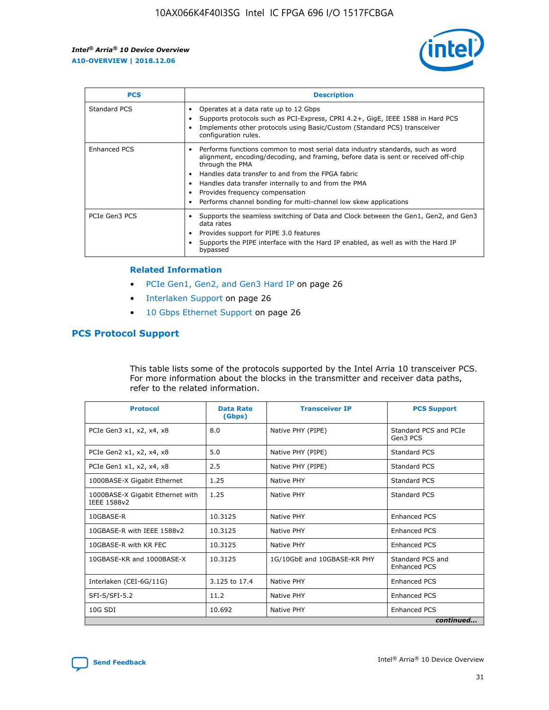

| <b>PCS</b>    | <b>Description</b>                                                                                                                                                                                                                                                                                                                                                                                             |
|---------------|----------------------------------------------------------------------------------------------------------------------------------------------------------------------------------------------------------------------------------------------------------------------------------------------------------------------------------------------------------------------------------------------------------------|
| Standard PCS  | Operates at a data rate up to 12 Gbps<br>Supports protocols such as PCI-Express, CPRI 4.2+, GigE, IEEE 1588 in Hard PCS<br>Implements other protocols using Basic/Custom (Standard PCS) transceiver<br>configuration rules.                                                                                                                                                                                    |
| Enhanced PCS  | Performs functions common to most serial data industry standards, such as word<br>alignment, encoding/decoding, and framing, before data is sent or received off-chip<br>through the PMA<br>• Handles data transfer to and from the FPGA fabric<br>Handles data transfer internally to and from the PMA<br>Provides frequency compensation<br>Performs channel bonding for multi-channel low skew applications |
| PCIe Gen3 PCS | Supports the seamless switching of Data and Clock between the Gen1, Gen2, and Gen3<br>data rates<br>Provides support for PIPE 3.0 features<br>Supports the PIPE interface with the Hard IP enabled, as well as with the Hard IP<br>bypassed                                                                                                                                                                    |

#### **Related Information**

- PCIe Gen1, Gen2, and Gen3 Hard IP on page 26
- Interlaken Support on page 26
- 10 Gbps Ethernet Support on page 26

## **PCS Protocol Support**

This table lists some of the protocols supported by the Intel Arria 10 transceiver PCS. For more information about the blocks in the transmitter and receiver data paths, refer to the related information.

| <b>Protocol</b>                                 | <b>Data Rate</b><br>(Gbps) | <b>Transceiver IP</b>       | <b>PCS Support</b>                      |
|-------------------------------------------------|----------------------------|-----------------------------|-----------------------------------------|
| PCIe Gen3 x1, x2, x4, x8                        | 8.0                        | Native PHY (PIPE)           | Standard PCS and PCIe<br>Gen3 PCS       |
| PCIe Gen2 x1, x2, x4, x8                        | 5.0                        | Native PHY (PIPE)           | <b>Standard PCS</b>                     |
| PCIe Gen1 x1, x2, x4, x8                        | 2.5                        | Native PHY (PIPE)           | Standard PCS                            |
| 1000BASE-X Gigabit Ethernet                     | 1.25                       | Native PHY                  | <b>Standard PCS</b>                     |
| 1000BASE-X Gigabit Ethernet with<br>IEEE 1588v2 | 1.25                       | Native PHY                  | Standard PCS                            |
| 10GBASE-R                                       | 10.3125                    | Native PHY                  | <b>Enhanced PCS</b>                     |
| 10GBASE-R with IEEE 1588v2                      | 10.3125                    | Native PHY                  | <b>Enhanced PCS</b>                     |
| 10GBASE-R with KR FEC                           | 10.3125                    | Native PHY                  | <b>Enhanced PCS</b>                     |
| 10GBASE-KR and 1000BASE-X                       | 10.3125                    | 1G/10GbE and 10GBASE-KR PHY | Standard PCS and<br><b>Enhanced PCS</b> |
| Interlaken (CEI-6G/11G)                         | 3.125 to 17.4              | Native PHY                  | <b>Enhanced PCS</b>                     |
| SFI-S/SFI-5.2                                   | 11.2                       | Native PHY                  | <b>Enhanced PCS</b>                     |
| $10G$ SDI                                       | 10.692                     | Native PHY                  | <b>Enhanced PCS</b>                     |
|                                                 |                            |                             | continued                               |

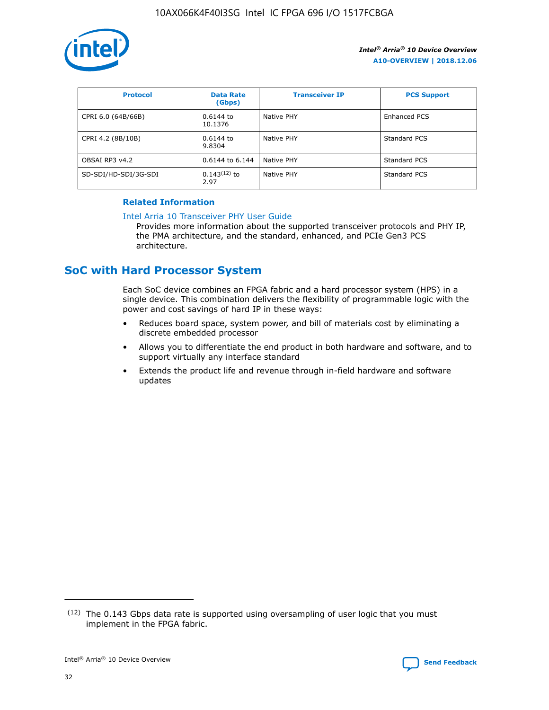

| <b>Protocol</b>      | <b>Data Rate</b><br>(Gbps) | <b>Transceiver IP</b> | <b>PCS Support</b> |
|----------------------|----------------------------|-----------------------|--------------------|
| CPRI 6.0 (64B/66B)   | 0.6144 to<br>10.1376       | Native PHY            | Enhanced PCS       |
| CPRI 4.2 (8B/10B)    | 0.6144 to<br>9.8304        | Native PHY            | Standard PCS       |
| OBSAI RP3 v4.2       | 0.6144 to 6.144            | Native PHY            | Standard PCS       |
| SD-SDI/HD-SDI/3G-SDI | $0.143(12)$ to<br>2.97     | Native PHY            | Standard PCS       |

## **Related Information**

#### [Intel Arria 10 Transceiver PHY User Guide](https://www.intel.com/content/www/us/en/programmable/documentation/nik1398707230472.html#nik1398707091164)

Provides more information about the supported transceiver protocols and PHY IP, the PMA architecture, and the standard, enhanced, and PCIe Gen3 PCS architecture.

# **SoC with Hard Processor System**

Each SoC device combines an FPGA fabric and a hard processor system (HPS) in a single device. This combination delivers the flexibility of programmable logic with the power and cost savings of hard IP in these ways:

- Reduces board space, system power, and bill of materials cost by eliminating a discrete embedded processor
- Allows you to differentiate the end product in both hardware and software, and to support virtually any interface standard
- Extends the product life and revenue through in-field hardware and software updates

 $(12)$  The 0.143 Gbps data rate is supported using oversampling of user logic that you must implement in the FPGA fabric.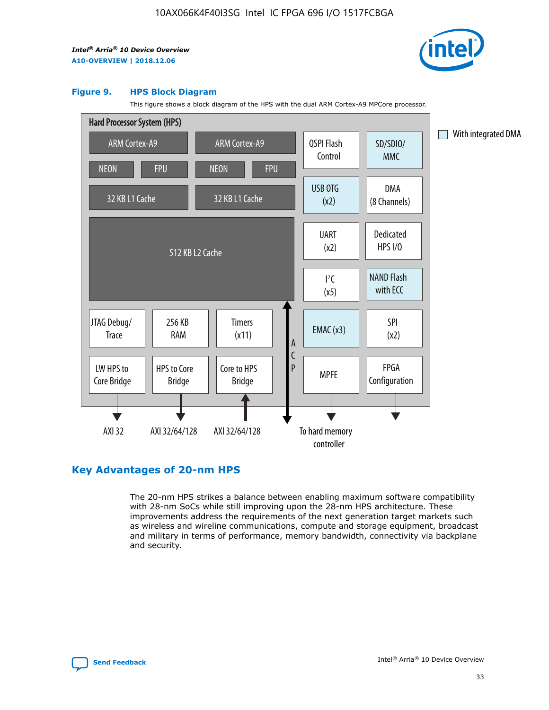

#### **Figure 9. HPS Block Diagram**

This figure shows a block diagram of the HPS with the dual ARM Cortex-A9 MPCore processor.



## **Key Advantages of 20-nm HPS**

The 20-nm HPS strikes a balance between enabling maximum software compatibility with 28-nm SoCs while still improving upon the 28-nm HPS architecture. These improvements address the requirements of the next generation target markets such as wireless and wireline communications, compute and storage equipment, broadcast and military in terms of performance, memory bandwidth, connectivity via backplane and security.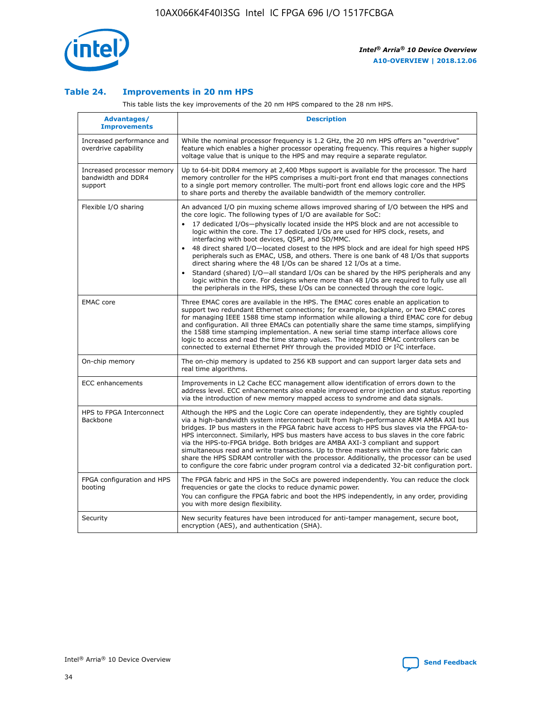

## **Table 24. Improvements in 20 nm HPS**

This table lists the key improvements of the 20 nm HPS compared to the 28 nm HPS.

| Advantages/<br><b>Improvements</b>                          | <b>Description</b>                                                                                                                                                                                                                                                                                                                                                                                                                                                                                                                                                                                                                                                                                                                                                                                                                                                                                                      |
|-------------------------------------------------------------|-------------------------------------------------------------------------------------------------------------------------------------------------------------------------------------------------------------------------------------------------------------------------------------------------------------------------------------------------------------------------------------------------------------------------------------------------------------------------------------------------------------------------------------------------------------------------------------------------------------------------------------------------------------------------------------------------------------------------------------------------------------------------------------------------------------------------------------------------------------------------------------------------------------------------|
| Increased performance and<br>overdrive capability           | While the nominal processor frequency is 1.2 GHz, the 20 nm HPS offers an "overdrive"<br>feature which enables a higher processor operating frequency. This requires a higher supply<br>voltage value that is unique to the HPS and may require a separate regulator.                                                                                                                                                                                                                                                                                                                                                                                                                                                                                                                                                                                                                                                   |
| Increased processor memory<br>bandwidth and DDR4<br>support | Up to 64-bit DDR4 memory at 2,400 Mbps support is available for the processor. The hard<br>memory controller for the HPS comprises a multi-port front end that manages connections<br>to a single port memory controller. The multi-port front end allows logic core and the HPS<br>to share ports and thereby the available bandwidth of the memory controller.                                                                                                                                                                                                                                                                                                                                                                                                                                                                                                                                                        |
| Flexible I/O sharing                                        | An advanced I/O pin muxing scheme allows improved sharing of I/O between the HPS and<br>the core logic. The following types of I/O are available for SoC:<br>17 dedicated I/Os-physically located inside the HPS block and are not accessible to<br>logic within the core. The 17 dedicated I/Os are used for HPS clock, resets, and<br>interfacing with boot devices, QSPI, and SD/MMC.<br>48 direct shared I/O-located closest to the HPS block and are ideal for high speed HPS<br>peripherals such as EMAC, USB, and others. There is one bank of 48 I/Os that supports<br>direct sharing where the 48 I/Os can be shared 12 I/Os at a time.<br>Standard (shared) I/O-all standard I/Os can be shared by the HPS peripherals and any<br>logic within the core. For designs where more than 48 I/Os are reguired to fully use all<br>the peripherals in the HPS, these I/Os can be connected through the core logic. |
| <b>EMAC</b> core                                            | Three EMAC cores are available in the HPS. The EMAC cores enable an application to<br>support two redundant Ethernet connections; for example, backplane, or two EMAC cores<br>for managing IEEE 1588 time stamp information while allowing a third EMAC core for debug<br>and configuration. All three EMACs can potentially share the same time stamps, simplifying<br>the 1588 time stamping implementation. A new serial time stamp interface allows core<br>logic to access and read the time stamp values. The integrated EMAC controllers can be<br>connected to external Ethernet PHY through the provided MDIO or I <sup>2</sup> C interface.                                                                                                                                                                                                                                                                  |
| On-chip memory                                              | The on-chip memory is updated to 256 KB support and can support larger data sets and<br>real time algorithms.                                                                                                                                                                                                                                                                                                                                                                                                                                                                                                                                                                                                                                                                                                                                                                                                           |
| <b>ECC</b> enhancements                                     | Improvements in L2 Cache ECC management allow identification of errors down to the<br>address level. ECC enhancements also enable improved error injection and status reporting<br>via the introduction of new memory mapped access to syndrome and data signals.                                                                                                                                                                                                                                                                                                                                                                                                                                                                                                                                                                                                                                                       |
| HPS to FPGA Interconnect<br>Backbone                        | Although the HPS and the Logic Core can operate independently, they are tightly coupled<br>via a high-bandwidth system interconnect built from high-performance ARM AMBA AXI bus<br>bridges. IP bus masters in the FPGA fabric have access to HPS bus slaves via the FPGA-to-<br>HPS interconnect. Similarly, HPS bus masters have access to bus slaves in the core fabric<br>via the HPS-to-FPGA bridge. Both bridges are AMBA AXI-3 compliant and support<br>simultaneous read and write transactions. Up to three masters within the core fabric can<br>share the HPS SDRAM controller with the processor. Additionally, the processor can be used<br>to configure the core fabric under program control via a dedicated 32-bit configuration port.                                                                                                                                                                  |
| FPGA configuration and HPS<br>booting                       | The FPGA fabric and HPS in the SoCs are powered independently. You can reduce the clock<br>frequencies or gate the clocks to reduce dynamic power.<br>You can configure the FPGA fabric and boot the HPS independently, in any order, providing<br>you with more design flexibility.                                                                                                                                                                                                                                                                                                                                                                                                                                                                                                                                                                                                                                    |
| Security                                                    | New security features have been introduced for anti-tamper management, secure boot,<br>encryption (AES), and authentication (SHA).                                                                                                                                                                                                                                                                                                                                                                                                                                                                                                                                                                                                                                                                                                                                                                                      |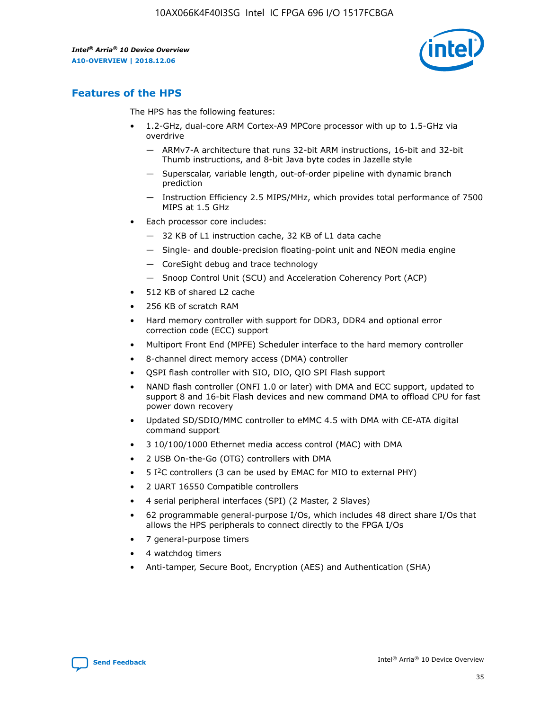

## **Features of the HPS**

The HPS has the following features:

- 1.2-GHz, dual-core ARM Cortex-A9 MPCore processor with up to 1.5-GHz via overdrive
	- ARMv7-A architecture that runs 32-bit ARM instructions, 16-bit and 32-bit Thumb instructions, and 8-bit Java byte codes in Jazelle style
	- Superscalar, variable length, out-of-order pipeline with dynamic branch prediction
	- Instruction Efficiency 2.5 MIPS/MHz, which provides total performance of 7500 MIPS at 1.5 GHz
- Each processor core includes:
	- 32 KB of L1 instruction cache, 32 KB of L1 data cache
	- Single- and double-precision floating-point unit and NEON media engine
	- CoreSight debug and trace technology
	- Snoop Control Unit (SCU) and Acceleration Coherency Port (ACP)
- 512 KB of shared L2 cache
- 256 KB of scratch RAM
- Hard memory controller with support for DDR3, DDR4 and optional error correction code (ECC) support
- Multiport Front End (MPFE) Scheduler interface to the hard memory controller
- 8-channel direct memory access (DMA) controller
- QSPI flash controller with SIO, DIO, QIO SPI Flash support
- NAND flash controller (ONFI 1.0 or later) with DMA and ECC support, updated to support 8 and 16-bit Flash devices and new command DMA to offload CPU for fast power down recovery
- Updated SD/SDIO/MMC controller to eMMC 4.5 with DMA with CE-ATA digital command support
- 3 10/100/1000 Ethernet media access control (MAC) with DMA
- 2 USB On-the-Go (OTG) controllers with DMA
- $\bullet$  5 I<sup>2</sup>C controllers (3 can be used by EMAC for MIO to external PHY)
- 2 UART 16550 Compatible controllers
- 4 serial peripheral interfaces (SPI) (2 Master, 2 Slaves)
- 62 programmable general-purpose I/Os, which includes 48 direct share I/Os that allows the HPS peripherals to connect directly to the FPGA I/Os
- 7 general-purpose timers
- 4 watchdog timers
- Anti-tamper, Secure Boot, Encryption (AES) and Authentication (SHA)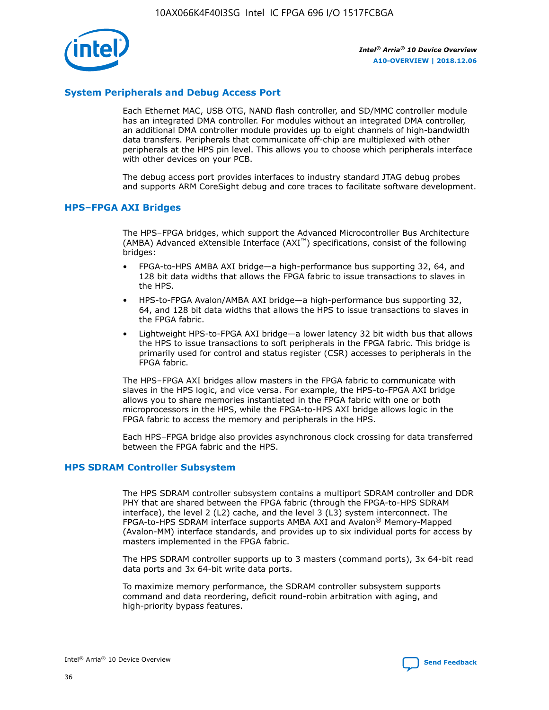

## **System Peripherals and Debug Access Port**

Each Ethernet MAC, USB OTG, NAND flash controller, and SD/MMC controller module has an integrated DMA controller. For modules without an integrated DMA controller, an additional DMA controller module provides up to eight channels of high-bandwidth data transfers. Peripherals that communicate off-chip are multiplexed with other peripherals at the HPS pin level. This allows you to choose which peripherals interface with other devices on your PCB.

The debug access port provides interfaces to industry standard JTAG debug probes and supports ARM CoreSight debug and core traces to facilitate software development.

## **HPS–FPGA AXI Bridges**

The HPS–FPGA bridges, which support the Advanced Microcontroller Bus Architecture (AMBA) Advanced eXtensible Interface (AXI™) specifications, consist of the following bridges:

- FPGA-to-HPS AMBA AXI bridge—a high-performance bus supporting 32, 64, and 128 bit data widths that allows the FPGA fabric to issue transactions to slaves in the HPS.
- HPS-to-FPGA Avalon/AMBA AXI bridge—a high-performance bus supporting 32, 64, and 128 bit data widths that allows the HPS to issue transactions to slaves in the FPGA fabric.
- Lightweight HPS-to-FPGA AXI bridge—a lower latency 32 bit width bus that allows the HPS to issue transactions to soft peripherals in the FPGA fabric. This bridge is primarily used for control and status register (CSR) accesses to peripherals in the FPGA fabric.

The HPS–FPGA AXI bridges allow masters in the FPGA fabric to communicate with slaves in the HPS logic, and vice versa. For example, the HPS-to-FPGA AXI bridge allows you to share memories instantiated in the FPGA fabric with one or both microprocessors in the HPS, while the FPGA-to-HPS AXI bridge allows logic in the FPGA fabric to access the memory and peripherals in the HPS.

Each HPS–FPGA bridge also provides asynchronous clock crossing for data transferred between the FPGA fabric and the HPS.

#### **HPS SDRAM Controller Subsystem**

The HPS SDRAM controller subsystem contains a multiport SDRAM controller and DDR PHY that are shared between the FPGA fabric (through the FPGA-to-HPS SDRAM interface), the level 2 (L2) cache, and the level 3 (L3) system interconnect. The FPGA-to-HPS SDRAM interface supports AMBA AXI and Avalon® Memory-Mapped (Avalon-MM) interface standards, and provides up to six individual ports for access by masters implemented in the FPGA fabric.

The HPS SDRAM controller supports up to 3 masters (command ports), 3x 64-bit read data ports and 3x 64-bit write data ports.

To maximize memory performance, the SDRAM controller subsystem supports command and data reordering, deficit round-robin arbitration with aging, and high-priority bypass features.

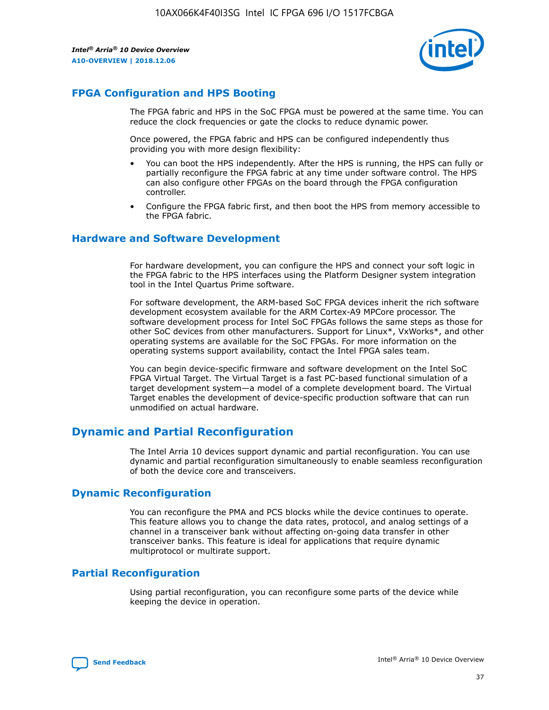

## **FPGA Configuration and HPS Booting**

The FPGA fabric and HPS in the SoC FPGA must be powered at the same time. You can reduce the clock frequencies or gate the clocks to reduce dynamic power.

Once powered, the FPGA fabric and HPS can be configured independently thus providing you with more design flexibility:

- You can boot the HPS independently. After the HPS is running, the HPS can fully or partially reconfigure the FPGA fabric at any time under software control. The HPS can also configure other FPGAs on the board through the FPGA configuration controller.
- Configure the FPGA fabric first, and then boot the HPS from memory accessible to the FPGA fabric.

## **Hardware and Software Development**

For hardware development, you can configure the HPS and connect your soft logic in the FPGA fabric to the HPS interfaces using the Platform Designer system integration tool in the Intel Quartus Prime software.

For software development, the ARM-based SoC FPGA devices inherit the rich software development ecosystem available for the ARM Cortex-A9 MPCore processor. The software development process for Intel SoC FPGAs follows the same steps as those for other SoC devices from other manufacturers. Support for Linux\*, VxWorks\*, and other operating systems are available for the SoC FPGAs. For more information on the operating systems support availability, contact the Intel FPGA sales team.

You can begin device-specific firmware and software development on the Intel SoC FPGA Virtual Target. The Virtual Target is a fast PC-based functional simulation of a target development system—a model of a complete development board. The Virtual Target enables the development of device-specific production software that can run unmodified on actual hardware.

## **Dynamic and Partial Reconfiguration**

The Intel Arria 10 devices support dynamic and partial reconfiguration. You can use dynamic and partial reconfiguration simultaneously to enable seamless reconfiguration of both the device core and transceivers.

## **Dynamic Reconfiguration**

You can reconfigure the PMA and PCS blocks while the device continues to operate. This feature allows you to change the data rates, protocol, and analog settings of a channel in a transceiver bank without affecting on-going data transfer in other transceiver banks. This feature is ideal for applications that require dynamic multiprotocol or multirate support.

## **Partial Reconfiguration**

Using partial reconfiguration, you can reconfigure some parts of the device while keeping the device in operation.

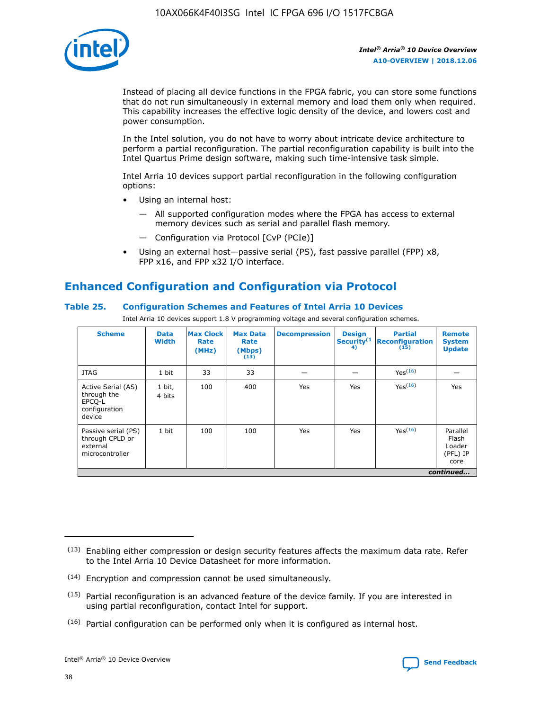

Instead of placing all device functions in the FPGA fabric, you can store some functions that do not run simultaneously in external memory and load them only when required. This capability increases the effective logic density of the device, and lowers cost and power consumption.

In the Intel solution, you do not have to worry about intricate device architecture to perform a partial reconfiguration. The partial reconfiguration capability is built into the Intel Quartus Prime design software, making such time-intensive task simple.

Intel Arria 10 devices support partial reconfiguration in the following configuration options:

- Using an internal host:
	- All supported configuration modes where the FPGA has access to external memory devices such as serial and parallel flash memory.
	- Configuration via Protocol [CvP (PCIe)]
- Using an external host—passive serial (PS), fast passive parallel (FPP) x8, FPP x16, and FPP x32 I/O interface.

# **Enhanced Configuration and Configuration via Protocol**

## **Table 25. Configuration Schemes and Features of Intel Arria 10 Devices**

Intel Arria 10 devices support 1.8 V programming voltage and several configuration schemes.

| <b>Scheme</b>                                                          | <b>Data</b><br><b>Width</b> | <b>Max Clock</b><br>Rate<br>(MHz) | <b>Max Data</b><br>Rate<br>(Mbps)<br>(13) | <b>Decompression</b> | <b>Design</b><br>Security <sup>(1</sup><br>4) | <b>Partial</b><br><b>Reconfiguration</b><br>(15) | <b>Remote</b><br><b>System</b><br><b>Update</b> |
|------------------------------------------------------------------------|-----------------------------|-----------------------------------|-------------------------------------------|----------------------|-----------------------------------------------|--------------------------------------------------|-------------------------------------------------|
| <b>JTAG</b>                                                            | 1 bit                       | 33                                | 33                                        |                      |                                               | Yes(16)                                          |                                                 |
| Active Serial (AS)<br>through the<br>EPCO-L<br>configuration<br>device | 1 bit,<br>4 bits            | 100                               | 400                                       | Yes                  | Yes                                           | $Y_{PS}(16)$                                     | Yes                                             |
| Passive serial (PS)<br>through CPLD or<br>external<br>microcontroller  | 1 bit                       | 100                               | 100                                       | Yes                  | Yes                                           | Yes(16)                                          | Parallel<br>Flash<br>Loader<br>(PFL) IP<br>core |
|                                                                        |                             |                                   |                                           |                      |                                               |                                                  | continued                                       |

<sup>(13)</sup> Enabling either compression or design security features affects the maximum data rate. Refer to the Intel Arria 10 Device Datasheet for more information.

<sup>(14)</sup> Encryption and compression cannot be used simultaneously.

 $(15)$  Partial reconfiguration is an advanced feature of the device family. If you are interested in using partial reconfiguration, contact Intel for support.

 $(16)$  Partial configuration can be performed only when it is configured as internal host.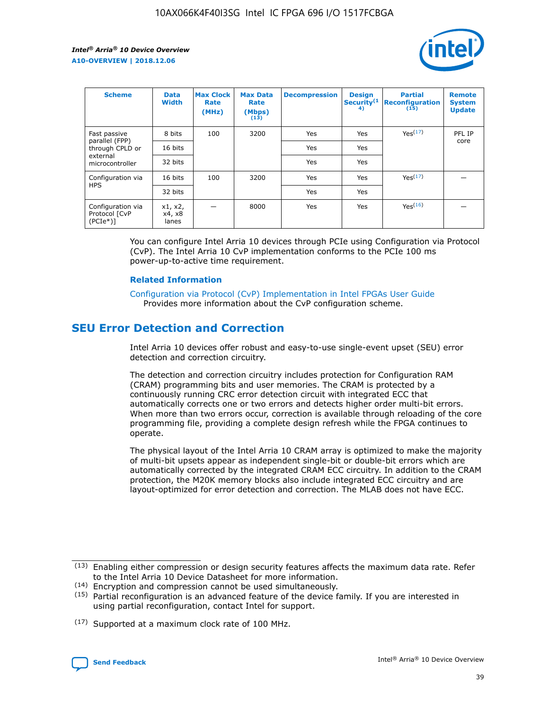

| <b>Scheme</b>                                   | <b>Data</b><br><b>Width</b> | <b>Max Clock</b><br>Rate<br>(MHz) | <b>Max Data</b><br>Rate<br>(Mbps)<br>(13) | <b>Decompression</b> | <b>Design</b><br>Security <sup>(1</sup><br>4) | <b>Partial</b><br><b>Reconfiguration</b><br>(15) | <b>Remote</b><br><b>System</b><br><b>Update</b> |
|-------------------------------------------------|-----------------------------|-----------------------------------|-------------------------------------------|----------------------|-----------------------------------------------|--------------------------------------------------|-------------------------------------------------|
| Fast passive                                    | 8 bits                      | 100                               | 3200                                      | Yes                  | Yes                                           | Yes(17)                                          | PFL IP                                          |
| parallel (FPP)<br>through CPLD or               | 16 bits                     |                                   |                                           | Yes                  | Yes                                           |                                                  | core                                            |
| external<br>microcontroller                     | 32 bits                     |                                   |                                           | Yes                  | Yes                                           |                                                  |                                                 |
| Configuration via                               | 16 bits                     | 100                               | 3200                                      | Yes                  | Yes                                           | Yes <sup>(17)</sup>                              |                                                 |
| <b>HPS</b>                                      | 32 bits                     |                                   |                                           | Yes                  | Yes                                           |                                                  |                                                 |
| Configuration via<br>Protocol [CvP<br>$(PCIe*)$ | x1, x2,<br>x4, x8<br>lanes  |                                   | 8000                                      | Yes                  | Yes                                           | Yes <sup>(16)</sup>                              |                                                 |

You can configure Intel Arria 10 devices through PCIe using Configuration via Protocol (CvP). The Intel Arria 10 CvP implementation conforms to the PCIe 100 ms power-up-to-active time requirement.

#### **Related Information**

[Configuration via Protocol \(CvP\) Implementation in Intel FPGAs User Guide](https://www.intel.com/content/www/us/en/programmable/documentation/dsu1441819344145.html#dsu1442269728522) Provides more information about the CvP configuration scheme.

# **SEU Error Detection and Correction**

Intel Arria 10 devices offer robust and easy-to-use single-event upset (SEU) error detection and correction circuitry.

The detection and correction circuitry includes protection for Configuration RAM (CRAM) programming bits and user memories. The CRAM is protected by a continuously running CRC error detection circuit with integrated ECC that automatically corrects one or two errors and detects higher order multi-bit errors. When more than two errors occur, correction is available through reloading of the core programming file, providing a complete design refresh while the FPGA continues to operate.

The physical layout of the Intel Arria 10 CRAM array is optimized to make the majority of multi-bit upsets appear as independent single-bit or double-bit errors which are automatically corrected by the integrated CRAM ECC circuitry. In addition to the CRAM protection, the M20K memory blocks also include integrated ECC circuitry and are layout-optimized for error detection and correction. The MLAB does not have ECC.

(14) Encryption and compression cannot be used simultaneously.

<sup>(17)</sup> Supported at a maximum clock rate of 100 MHz.



 $(13)$  Enabling either compression or design security features affects the maximum data rate. Refer to the Intel Arria 10 Device Datasheet for more information.

 $(15)$  Partial reconfiguration is an advanced feature of the device family. If you are interested in using partial reconfiguration, contact Intel for support.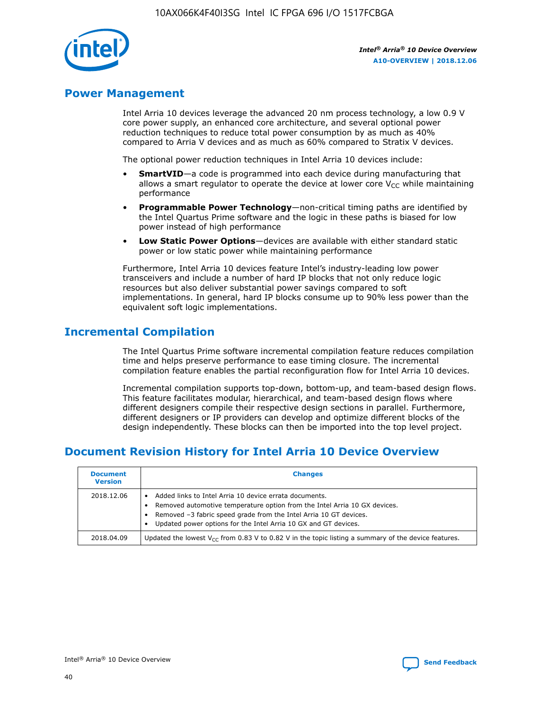

## **Power Management**

Intel Arria 10 devices leverage the advanced 20 nm process technology, a low 0.9 V core power supply, an enhanced core architecture, and several optional power reduction techniques to reduce total power consumption by as much as 40% compared to Arria V devices and as much as 60% compared to Stratix V devices.

The optional power reduction techniques in Intel Arria 10 devices include:

- **SmartVID**—a code is programmed into each device during manufacturing that allows a smart regulator to operate the device at lower core  $V_{CC}$  while maintaining performance
- **Programmable Power Technology**—non-critical timing paths are identified by the Intel Quartus Prime software and the logic in these paths is biased for low power instead of high performance
- **Low Static Power Options**—devices are available with either standard static power or low static power while maintaining performance

Furthermore, Intel Arria 10 devices feature Intel's industry-leading low power transceivers and include a number of hard IP blocks that not only reduce logic resources but also deliver substantial power savings compared to soft implementations. In general, hard IP blocks consume up to 90% less power than the equivalent soft logic implementations.

# **Incremental Compilation**

The Intel Quartus Prime software incremental compilation feature reduces compilation time and helps preserve performance to ease timing closure. The incremental compilation feature enables the partial reconfiguration flow for Intel Arria 10 devices.

Incremental compilation supports top-down, bottom-up, and team-based design flows. This feature facilitates modular, hierarchical, and team-based design flows where different designers compile their respective design sections in parallel. Furthermore, different designers or IP providers can develop and optimize different blocks of the design independently. These blocks can then be imported into the top level project.

# **Document Revision History for Intel Arria 10 Device Overview**

| <b>Document</b><br><b>Version</b> | <b>Changes</b>                                                                                                                                                                                                                                                              |
|-----------------------------------|-----------------------------------------------------------------------------------------------------------------------------------------------------------------------------------------------------------------------------------------------------------------------------|
| 2018.12.06                        | Added links to Intel Arria 10 device errata documents.<br>Removed automotive temperature option from the Intel Arria 10 GX devices.<br>Removed -3 fabric speed grade from the Intel Arria 10 GT devices.<br>Updated power options for the Intel Arria 10 GX and GT devices. |
| 2018.04.09                        | Updated the lowest $V_{CC}$ from 0.83 V to 0.82 V in the topic listing a summary of the device features.                                                                                                                                                                    |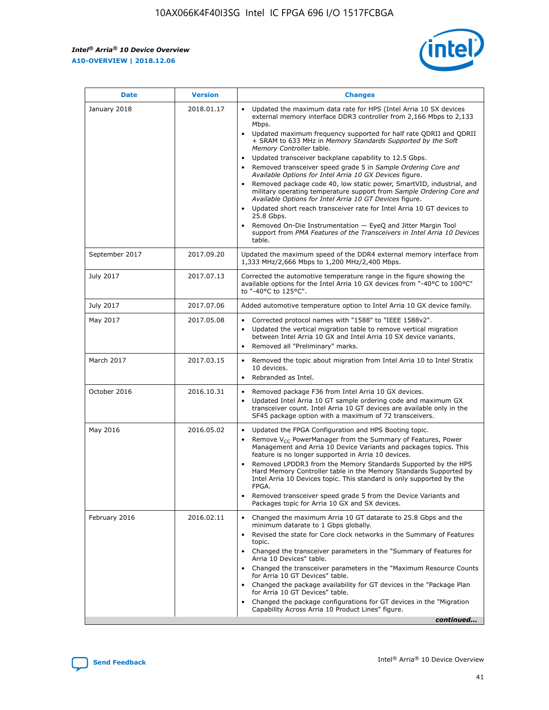*Intel® Arria® 10 Device Overview* **A10-OVERVIEW | 2018.12.06**



| <b>Date</b>    | <b>Version</b> | <b>Changes</b>                                                                                                                                                                                                                                                                                                                                                                                                                                                                                                                                                                                                                                                                                                                                                                                                                                                                                                                                                            |
|----------------|----------------|---------------------------------------------------------------------------------------------------------------------------------------------------------------------------------------------------------------------------------------------------------------------------------------------------------------------------------------------------------------------------------------------------------------------------------------------------------------------------------------------------------------------------------------------------------------------------------------------------------------------------------------------------------------------------------------------------------------------------------------------------------------------------------------------------------------------------------------------------------------------------------------------------------------------------------------------------------------------------|
| January 2018   | 2018.01.17     | Updated the maximum data rate for HPS (Intel Arria 10 SX devices<br>external memory interface DDR3 controller from 2,166 Mbps to 2,133<br>Mbps.<br>Updated maximum frequency supported for half rate QDRII and QDRII<br>+ SRAM to 633 MHz in Memory Standards Supported by the Soft<br>Memory Controller table.<br>Updated transceiver backplane capability to 12.5 Gbps.<br>$\bullet$<br>Removed transceiver speed grade 5 in Sample Ordering Core and<br>Available Options for Intel Arria 10 GX Devices figure.<br>Removed package code 40, low static power, SmartVID, industrial, and<br>military operating temperature support from Sample Ordering Core and<br>Available Options for Intel Arria 10 GT Devices figure.<br>Updated short reach transceiver rate for Intel Arria 10 GT devices to<br>25.8 Gbps.<br>Removed On-Die Instrumentation - EyeQ and Jitter Margin Tool<br>support from PMA Features of the Transceivers in Intel Arria 10 Devices<br>table. |
| September 2017 | 2017.09.20     | Updated the maximum speed of the DDR4 external memory interface from<br>1,333 MHz/2,666 Mbps to 1,200 MHz/2,400 Mbps.                                                                                                                                                                                                                                                                                                                                                                                                                                                                                                                                                                                                                                                                                                                                                                                                                                                     |
| July 2017      | 2017.07.13     | Corrected the automotive temperature range in the figure showing the<br>available options for the Intel Arria 10 GX devices from "-40°C to 100°C"<br>to "-40°C to 125°C".                                                                                                                                                                                                                                                                                                                                                                                                                                                                                                                                                                                                                                                                                                                                                                                                 |
| July 2017      | 2017.07.06     | Added automotive temperature option to Intel Arria 10 GX device family.                                                                                                                                                                                                                                                                                                                                                                                                                                                                                                                                                                                                                                                                                                                                                                                                                                                                                                   |
| May 2017       | 2017.05.08     | Corrected protocol names with "1588" to "IEEE 1588v2".<br>$\bullet$<br>Updated the vertical migration table to remove vertical migration<br>$\bullet$<br>between Intel Arria 10 GX and Intel Arria 10 SX device variants.<br>Removed all "Preliminary" marks.<br>$\bullet$                                                                                                                                                                                                                                                                                                                                                                                                                                                                                                                                                                                                                                                                                                |
| March 2017     | 2017.03.15     | Removed the topic about migration from Intel Arria 10 to Intel Stratix<br>10 devices.<br>Rebranded as Intel.<br>$\bullet$                                                                                                                                                                                                                                                                                                                                                                                                                                                                                                                                                                                                                                                                                                                                                                                                                                                 |
| October 2016   | 2016.10.31     | Removed package F36 from Intel Arria 10 GX devices.<br>Updated Intel Arria 10 GT sample ordering code and maximum GX<br>$\bullet$<br>transceiver count. Intel Arria 10 GT devices are available only in the<br>SF45 package option with a maximum of 72 transceivers.                                                                                                                                                                                                                                                                                                                                                                                                                                                                                                                                                                                                                                                                                                     |
| May 2016       | 2016.05.02     | Updated the FPGA Configuration and HPS Booting topic.<br>$\bullet$<br>Remove V <sub>CC</sub> PowerManager from the Summary of Features, Power<br>Management and Arria 10 Device Variants and packages topics. This<br>feature is no longer supported in Arria 10 devices.<br>Removed LPDDR3 from the Memory Standards Supported by the HPS<br>Hard Memory Controller table in the Memory Standards Supported by<br>Intel Arria 10 Devices topic. This standard is only supported by the<br>FPGA.<br>Removed transceiver speed grade 5 from the Device Variants and<br>Packages topic for Arria 10 GX and SX devices.                                                                                                                                                                                                                                                                                                                                                      |
| February 2016  | 2016.02.11     | Changed the maximum Arria 10 GT datarate to 25.8 Gbps and the<br>minimum datarate to 1 Gbps globally.<br>Revised the state for Core clock networks in the Summary of Features<br>$\bullet$<br>topic.<br>Changed the transceiver parameters in the "Summary of Features for<br>$\bullet$<br>Arria 10 Devices" table.<br>• Changed the transceiver parameters in the "Maximum Resource Counts<br>for Arria 10 GT Devices" table.<br>Changed the package availability for GT devices in the "Package Plan<br>for Arria 10 GT Devices" table.<br>Changed the package configurations for GT devices in the "Migration"<br>Capability Across Arria 10 Product Lines" figure.<br>continued                                                                                                                                                                                                                                                                                       |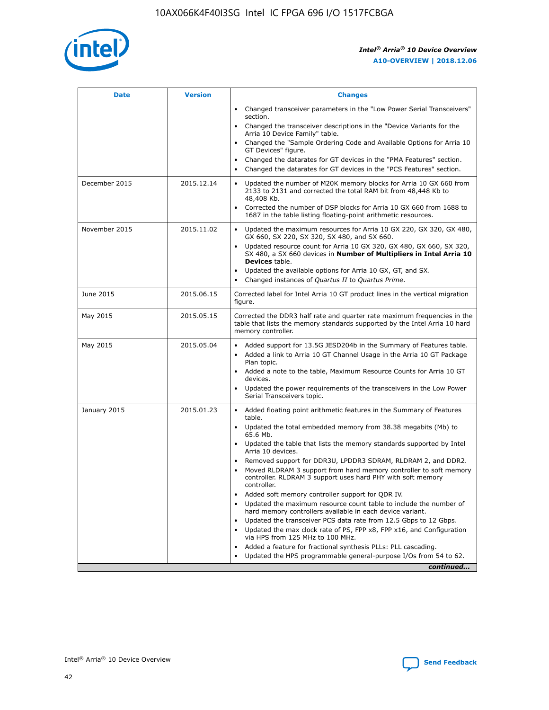

| <b>Date</b>   | <b>Version</b> | <b>Changes</b>                                                                                                                                                               |
|---------------|----------------|------------------------------------------------------------------------------------------------------------------------------------------------------------------------------|
|               |                | • Changed transceiver parameters in the "Low Power Serial Transceivers"<br>section.                                                                                          |
|               |                | • Changed the transceiver descriptions in the "Device Variants for the<br>Arria 10 Device Family" table.                                                                     |
|               |                | Changed the "Sample Ordering Code and Available Options for Arria 10<br>$\bullet$<br>GT Devices" figure.                                                                     |
|               |                | Changed the datarates for GT devices in the "PMA Features" section.                                                                                                          |
|               |                | Changed the datarates for GT devices in the "PCS Features" section.<br>$\bullet$                                                                                             |
| December 2015 | 2015.12.14     | Updated the number of M20K memory blocks for Arria 10 GX 660 from<br>2133 to 2131 and corrected the total RAM bit from 48,448 Kb to<br>48,408 Kb.                            |
|               |                | Corrected the number of DSP blocks for Arria 10 GX 660 from 1688 to<br>1687 in the table listing floating-point arithmetic resources.                                        |
| November 2015 | 2015.11.02     | Updated the maximum resources for Arria 10 GX 220, GX 320, GX 480,<br>$\bullet$<br>GX 660, SX 220, SX 320, SX 480, and SX 660.                                               |
|               |                | • Updated resource count for Arria 10 GX 320, GX 480, GX 660, SX 320,<br>SX 480, a SX 660 devices in Number of Multipliers in Intel Arria 10<br><b>Devices</b> table.        |
|               |                | Updated the available options for Arria 10 GX, GT, and SX.                                                                                                                   |
|               |                | Changed instances of Quartus II to Quartus Prime.<br>$\bullet$                                                                                                               |
| June 2015     | 2015.06.15     | Corrected label for Intel Arria 10 GT product lines in the vertical migration<br>figure.                                                                                     |
| May 2015      | 2015.05.15     | Corrected the DDR3 half rate and quarter rate maximum frequencies in the<br>table that lists the memory standards supported by the Intel Arria 10 hard<br>memory controller. |
| May 2015      | 2015.05.04     | • Added support for 13.5G JESD204b in the Summary of Features table.                                                                                                         |
|               |                | • Added a link to Arria 10 GT Channel Usage in the Arria 10 GT Package<br>Plan topic.                                                                                        |
|               |                | • Added a note to the table, Maximum Resource Counts for Arria 10 GT<br>devices.                                                                                             |
|               |                | • Updated the power requirements of the transceivers in the Low Power<br>Serial Transceivers topic.                                                                          |
| January 2015  | 2015.01.23     | • Added floating point arithmetic features in the Summary of Features<br>table.                                                                                              |
|               |                | • Updated the total embedded memory from 38.38 megabits (Mb) to<br>65.6 Mb.                                                                                                  |
|               |                | • Updated the table that lists the memory standards supported by Intel<br>Arria 10 devices.                                                                                  |
|               |                | Removed support for DDR3U, LPDDR3 SDRAM, RLDRAM 2, and DDR2.                                                                                                                 |
|               |                | Moved RLDRAM 3 support from hard memory controller to soft memory<br>controller. RLDRAM 3 support uses hard PHY with soft memory<br>controller.                              |
|               |                | Added soft memory controller support for QDR IV.<br>٠                                                                                                                        |
|               |                | Updated the maximum resource count table to include the number of<br>hard memory controllers available in each device variant.                                               |
|               |                | Updated the transceiver PCS data rate from 12.5 Gbps to 12 Gbps.<br>$\bullet$                                                                                                |
|               |                | Updated the max clock rate of PS, FPP x8, FPP x16, and Configuration<br>via HPS from 125 MHz to 100 MHz.                                                                     |
|               |                | Added a feature for fractional synthesis PLLs: PLL cascading.                                                                                                                |
|               |                | Updated the HPS programmable general-purpose I/Os from 54 to 62.<br>$\bullet$                                                                                                |
|               |                | continued                                                                                                                                                                    |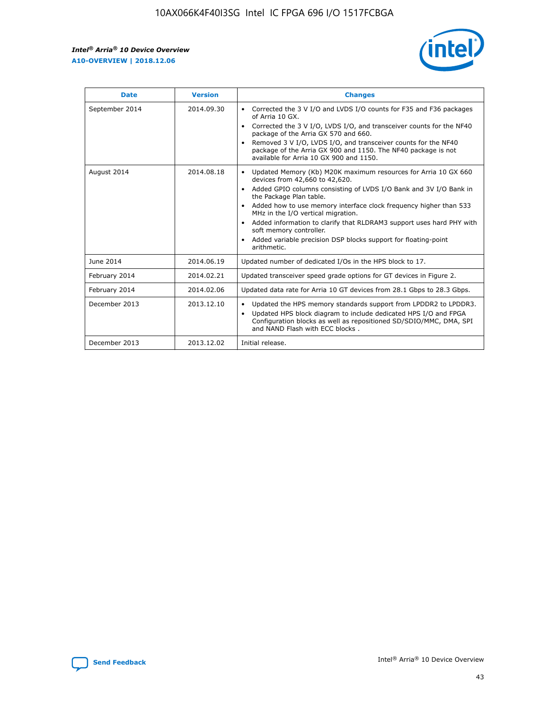r



| <b>Date</b>    | <b>Version</b> | <b>Changes</b>                                                                                                                                                                                                                                                                                                                                                                                                                                                                                                                                      |
|----------------|----------------|-----------------------------------------------------------------------------------------------------------------------------------------------------------------------------------------------------------------------------------------------------------------------------------------------------------------------------------------------------------------------------------------------------------------------------------------------------------------------------------------------------------------------------------------------------|
| September 2014 | 2014.09.30     | Corrected the 3 V I/O and LVDS I/O counts for F35 and F36 packages<br>$\bullet$<br>of Arria 10 GX.<br>Corrected the 3 V I/O, LVDS I/O, and transceiver counts for the NF40<br>$\bullet$<br>package of the Arria GX 570 and 660.<br>Removed 3 V I/O, LVDS I/O, and transceiver counts for the NF40<br>package of the Arria GX 900 and 1150. The NF40 package is not<br>available for Arria 10 GX 900 and 1150.                                                                                                                                       |
| August 2014    | 2014.08.18     | Updated Memory (Kb) M20K maximum resources for Arria 10 GX 660<br>devices from 42,660 to 42,620.<br>Added GPIO columns consisting of LVDS I/O Bank and 3V I/O Bank in<br>$\bullet$<br>the Package Plan table.<br>Added how to use memory interface clock frequency higher than 533<br>$\bullet$<br>MHz in the I/O vertical migration.<br>Added information to clarify that RLDRAM3 support uses hard PHY with<br>$\bullet$<br>soft memory controller.<br>Added variable precision DSP blocks support for floating-point<br>$\bullet$<br>arithmetic. |
| June 2014      | 2014.06.19     | Updated number of dedicated I/Os in the HPS block to 17.                                                                                                                                                                                                                                                                                                                                                                                                                                                                                            |
| February 2014  | 2014.02.21     | Updated transceiver speed grade options for GT devices in Figure 2.                                                                                                                                                                                                                                                                                                                                                                                                                                                                                 |
| February 2014  | 2014.02.06     | Updated data rate for Arria 10 GT devices from 28.1 Gbps to 28.3 Gbps.                                                                                                                                                                                                                                                                                                                                                                                                                                                                              |
| December 2013  | 2013.12.10     | Updated the HPS memory standards support from LPDDR2 to LPDDR3.<br>Updated HPS block diagram to include dedicated HPS I/O and FPGA<br>$\bullet$<br>Configuration blocks as well as repositioned SD/SDIO/MMC, DMA, SPI<br>and NAND Flash with ECC blocks.                                                                                                                                                                                                                                                                                            |
| December 2013  | 2013.12.02     | Initial release.                                                                                                                                                                                                                                                                                                                                                                                                                                                                                                                                    |